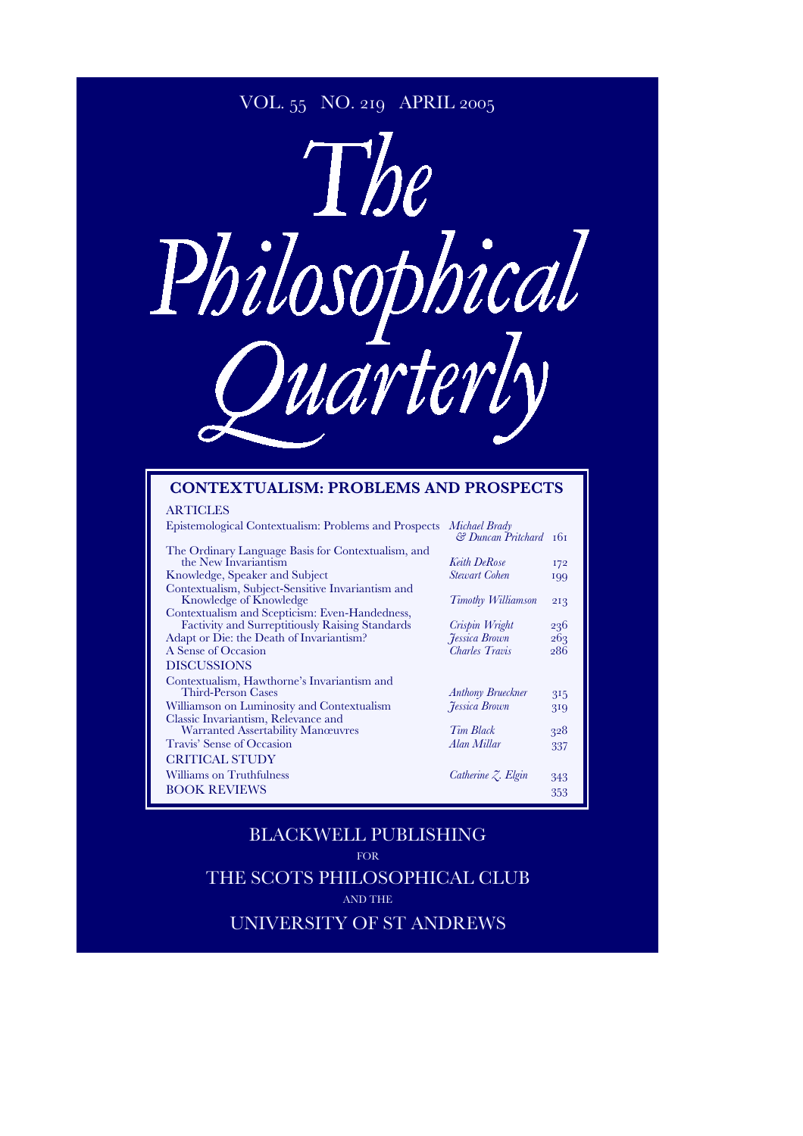# VOL. 55 NO. 219 APRIL 2005

The Philosophical

# **CONTEXTUALISM: PROBLEMS AND PROSPECTS**

| <b>ARTICLES</b>                                                            |                                                |     |
|----------------------------------------------------------------------------|------------------------------------------------|-----|
| Epistemological Contextualism: Problems and Prospects                      | Michael Brady<br><i>S Duncan Pritchard</i> 161 |     |
| The Ordinary Language Basis for Contextualism, and<br>the New Invariantism |                                                |     |
|                                                                            | <b>Keith DeRose</b>                            | 172 |
| Knowledge, Speaker and Subject                                             | <b>Stewart Cohen</b>                           | 199 |
| Contextualism, Subject-Sensitive Invariantism and                          |                                                |     |
| Knowledge of Knowledge                                                     | Timothy Williamson                             | 213 |
| Contextualism and Scepticism: Even-Handedness,                             |                                                |     |
| <b>Factivity and Surreptitiously Raising Standards</b>                     | Crispin Wright                                 | 236 |
| Adapt or Die: the Death of Invariantism?                                   | <b>Jessica Brown</b>                           | 263 |
| A Sense of Occasion                                                        | <b>Charles Travis</b>                          | 286 |
| <b>DISCUSSIONS</b>                                                         |                                                |     |
| Contextualism, Hawthorne's Invariantism and                                |                                                |     |
| <b>Third-Person Cases</b>                                                  | <b>Anthony Brueckner</b>                       | 315 |
| Williamson on Luminosity and Contextualism                                 | <b>Jessica Brown</b>                           | 319 |
| Classic Invariantism, Relevance and                                        |                                                |     |
| Warranted Assertability Manœuvres                                          | Tim Black                                      | 328 |
| Travis' Sense of Occasion                                                  | Alan Millar                                    | 337 |
| <b>CRITICAL STUDY</b>                                                      |                                                |     |
| Williams on Truthfulness                                                   | <i>Catherine <math>Z</math>, Elgin</i>         | 343 |
| <b>BOOK REVIEWS</b>                                                        |                                                | 353 |

# BLACKWELL PUBLISHING FOR

THE SCOTS PHILOSOPHICAL CLUB

AND THE

UNIVERSITY OF ST ANDREWS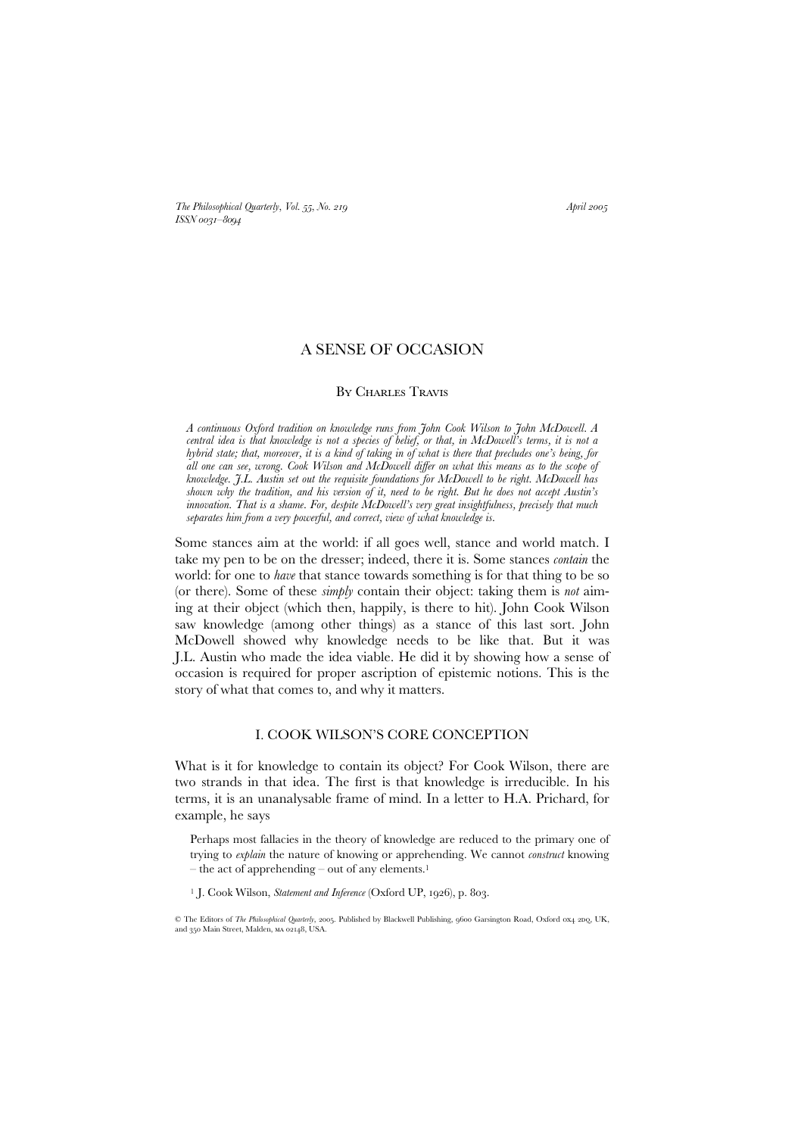# A SENSE OF OCCASION

# BY CHARLES TRAVIS

*A continuous Oxford tradition on knowledge runs from John Cook Wilson to John McDowell. A central idea is that knowledge is not a species of belief, or that, in McDowell's terms, it is not a hybrid state; that, moreover, it is a kind of taking in of what is there that precludes one's being, for all one can see, wrong. Cook Wilson and McDowell differ on what this means as to the scope of knowledge. J.L. Austin set out the requisite foundations for McDowell to be right. McDowell has shown why the tradition, and his version of it, need to be right. But he does not accept Austin's innovation. That is a shame. For, despite McDowell's very great insightfulness, precisely that much separates him from a very powerful, and correct, view of what knowledge is.*

Some stances aim at the world: if all goes well, stance and world match. I take my pen to be on the dresser; indeed, there it is. Some stances *contain* the world: for one to *have* that stance towards something is for that thing to be so (or there). Some of these *simply* contain their object: taking them is *not* aiming at their object (which then, happily, is there to hit). John Cook Wilson saw knowledge (among other things) as a stance of this last sort. John McDowell showed why knowledge needs to be like that. But it was J.L. Austin who made the idea viable. He did it by showing how a sense of occasion is required for proper ascription of epistemic notions. This is the story of what that comes to, and why it matters.

# I. COOK WILSON'S CORE CONCEPTION

What is it for knowledge to contain its object? For Cook Wilson, there are two strands in that idea. The first is that knowledge is irreducible. In his terms, it is an unanalysable frame of mind. In a letter to H.A. Prichard, for example, he says

Perhaps most fallacies in the theory of knowledge are reduced to the primary one of trying to *explain* the nature of knowing or apprehending. We cannot *construct* knowing – the act of apprehending – out of any elements.<sup>1</sup>

<sup>1</sup> J. Cook Wilson, *Statement and Inference* (Oxford UP, 1926), p. 803.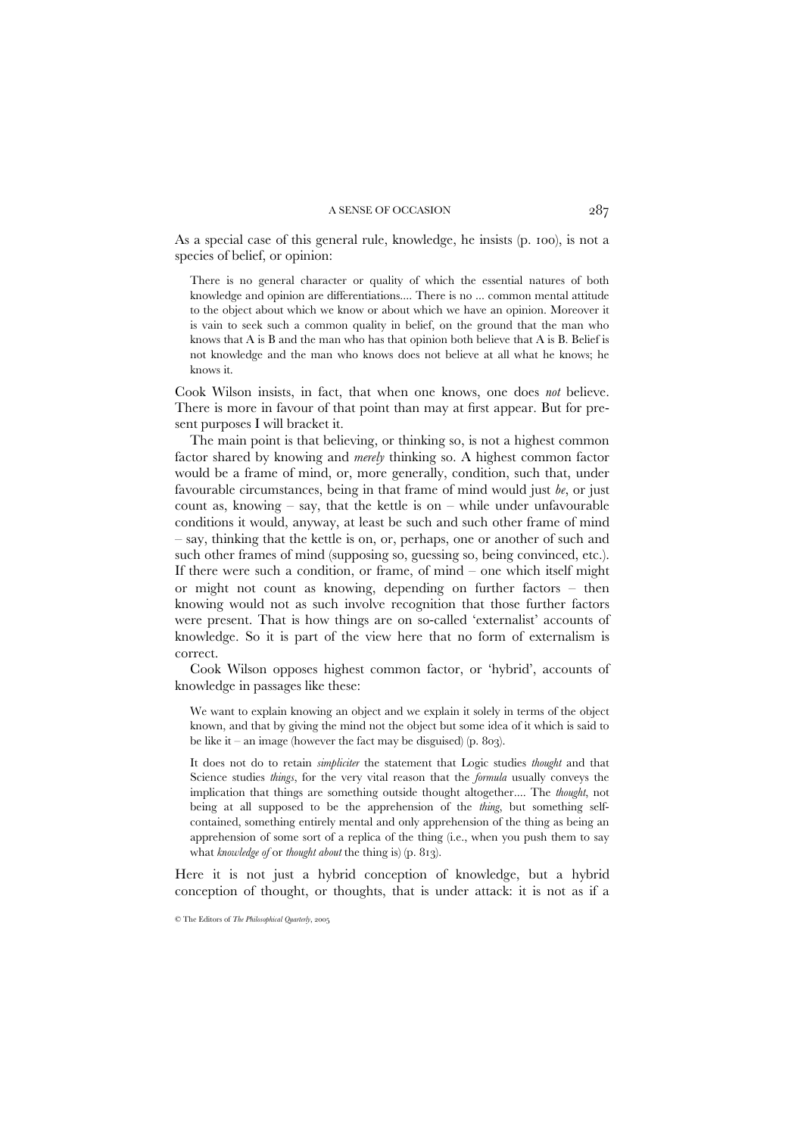As a special case of this general rule, knowledge, he insists (p. 100), is not a species of belief, or opinion:

There is no general character or quality of which the essential natures of both knowledge and opinion are differentiations.... There is no ... common mental attitude to the object about which we know or about which we have an opinion. Moreover it is vain to seek such a common quality in belief, on the ground that the man who knows that A is B and the man who has that opinion both believe that A is B. Belief is not knowledge and the man who knows does not believe at all what he knows; he knows it.

Cook Wilson insists, in fact, that when one knows, one does *not* believe. There is more in favour of that point than may at first appear. But for present purposes I will bracket it.

The main point is that believing, or thinking so, is not a highest common factor shared by knowing and *merely* thinking so. A highest common factor would be a frame of mind, or, more generally, condition, such that, under favourable circumstances, being in that frame of mind would just *be*, or just count as, knowing – say, that the kettle is on – while under unfavourable conditions it would, anyway, at least be such and such other frame of mind – say, thinking that the kettle is on, or, perhaps, one or another of such and such other frames of mind (supposing so, guessing so, being convinced, etc.). If there were such a condition, or frame, of mind – one which itself might or might not count as knowing, depending on further factors – then knowing would not as such involve recognition that those further factors were present. That is how things are on so-called 'externalist' accounts of knowledge. So it is part of the view here that no form of externalism is correct.

Cook Wilson opposes highest common factor, or 'hybrid', accounts of knowledge in passages like these:

We want to explain knowing an object and we explain it solely in terms of the object known, and that by giving the mind not the object but some idea of it which is said to be like it – an image (however the fact may be disguised) (p. 803).

It does not do to retain *simpliciter* the statement that Logic studies *thought* and that Science studies *things*, for the very vital reason that the *formula* usually conveys the implication that things are something outside thought altogether.... The *thought*, not being at all supposed to be the apprehension of the *thing*, but something selfcontained, something entirely mental and only apprehension of the thing as being an apprehension of some sort of a replica of the thing (i.e., when you push them to say what *knowledge of* or *thought about* the thing is) (p. 813).

Here it is not just a hybrid conception of knowledge, but a hybrid conception of thought, or thoughts, that is under attack: it is not as if a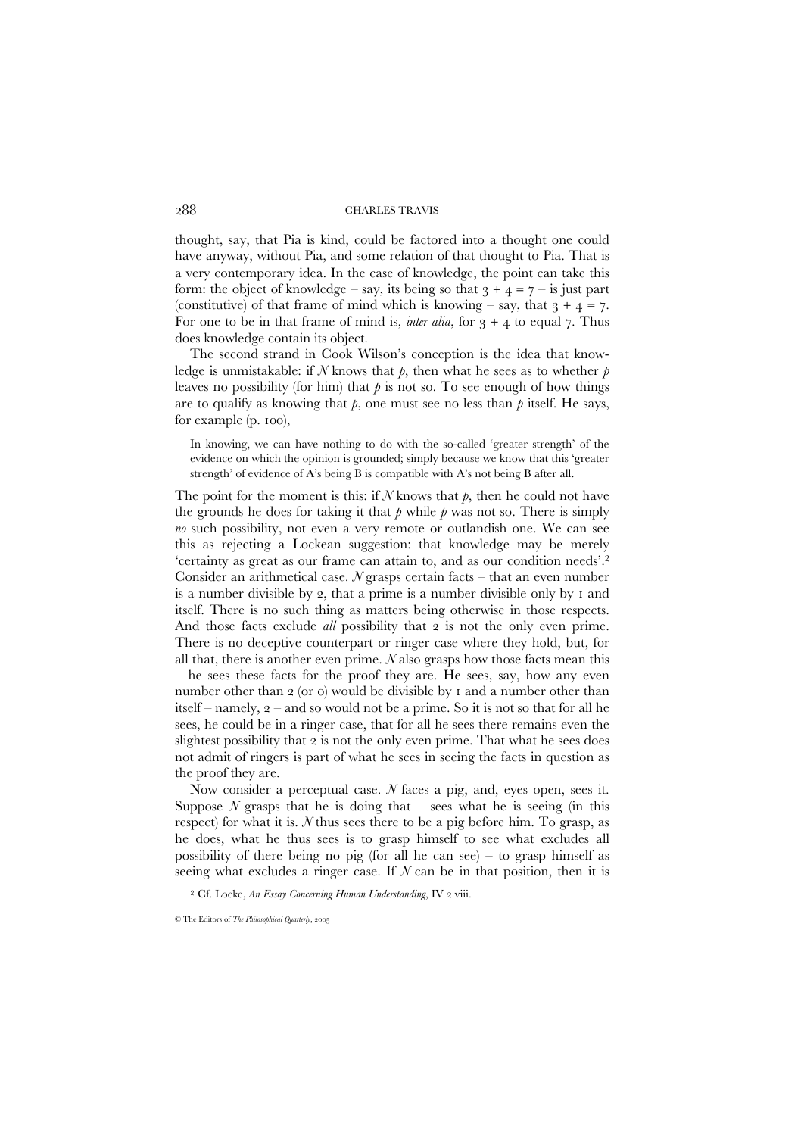thought, say, that Pia is kind, could be factored into a thought one could have anyway, without Pia, and some relation of that thought to Pia. That is a very contemporary idea. In the case of knowledge, the point can take this form: the object of knowledge – say, its being so that  $3 + 4 = 7 -$  is just part (constitutive) of that frame of mind which is knowing – say, that  $3 + 4 = 7$ . For one to be in that frame of mind is, *inter alia*, for  $3 + 4$  to equal 7. Thus does knowledge contain its object.

The second strand in Cook Wilson's conception is the idea that knowledge is unmistakable: if *N* knows that *p*, then what he sees as to whether *p* leaves no possibility (for him) that  $p$  is not so. To see enough of how things are to qualify as knowing that  $\beta$ , one must see no less than  $\beta$  itself. He says, for example  $(p. 100)$ ,

In knowing, we can have nothing to do with the so-called 'greater strength' of the evidence on which the opinion is grounded; simply because we know that this 'greater strength' of evidence of A's being B is compatible with A's not being B after all.

The point for the moment is this: if  $N$  knows that  $p$ , then he could not have the grounds he does for taking it that  $p$  while  $p$  was not so. There is simply *no* such possibility, not even a very remote or outlandish one. We can see this as rejecting a Lockean suggestion: that knowledge may be merely 'certainty as great as our frame can attain to, and as our condition needs'.2 Consider an arithmetical case. *N* grasps certain facts – that an even number is a number divisible by  $2$ , that a prime is a number divisible only by  $I$  and itself. There is no such thing as matters being otherwise in those respects. And those facts exclude *all* possibility that 2 is not the only even prime. There is no deceptive counterpart or ringer case where they hold, but, for all that, there is another even prime. *N* also grasps how those facts mean this – he sees these facts for the proof they are. He sees, say, how any even number other than  $2$  (or o) would be divisible by  $I$  and a number other than itself – namely,  $2$  – and so would not be a prime. So it is not so that for all he sees, he could be in a ringer case, that for all he sees there remains even the slightest possibility that  $\alpha$  is not the only even prime. That what he sees does not admit of ringers is part of what he sees in seeing the facts in question as the proof they are.

Now consider a perceptual case. *N* faces a pig, and, eyes open, sees it. Suppose  $N$  grasps that he is doing that – sees what he is seeing (in this respect) for what it is. *N* thus sees there to be a pig before him. To grasp, as he does, what he thus sees is to grasp himself to see what excludes all possibility of there being no pig (for all he can see) – to grasp himself as seeing what excludes a ringer case. If *N* can be in that position, then it is

<sup>2</sup> Cf. Locke, *An Essay Concerning Human Understanding*, IV 2 viii.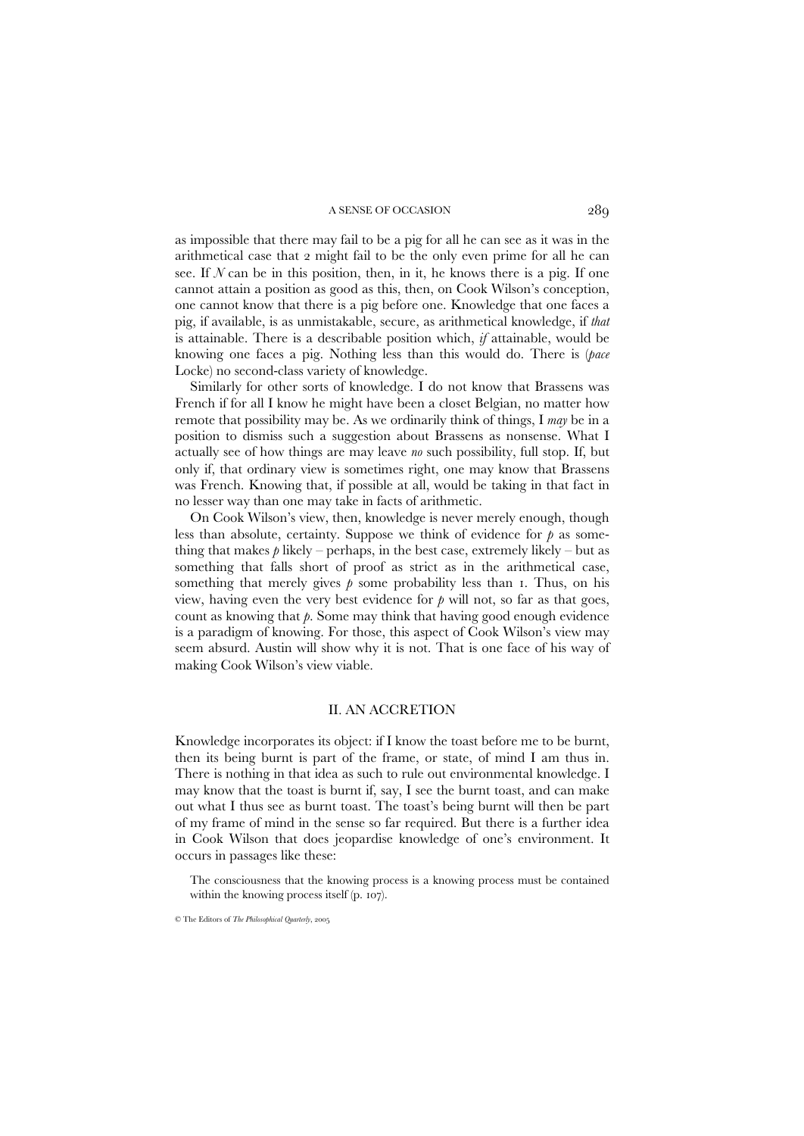as impossible that there may fail to be a pig for all he can see as it was in the arithmetical case that 2 might fail to be the only even prime for all he can see. If  $N$  can be in this position, then, in it, he knows there is a pig. If one cannot attain a position as good as this, then, on Cook Wilson's conception, one cannot know that there is a pig before one. Knowledge that one faces a pig, if available, is as unmistakable, secure, as arithmetical knowledge, if *that* is attainable. There is a describable position which, *if* attainable, would be knowing one faces a pig. Nothing less than this would do. There is (*pace* Locke) no second-class variety of knowledge.

Similarly for other sorts of knowledge. I do not know that Brassens was French if for all I know he might have been a closet Belgian, no matter how remote that possibility may be. As we ordinarily think of things, I *may* be in a position to dismiss such a suggestion about Brassens as nonsense. What I actually see of how things are may leave *no* such possibility, full stop. If, but only if, that ordinary view is sometimes right, one may know that Brassens was French. Knowing that, if possible at all, would be taking in that fact in no lesser way than one may take in facts of arithmetic.

On Cook Wilson's view, then, knowledge is never merely enough, though less than absolute, certainty. Suppose we think of evidence for *p* as something that makes  $\beta$  likely – perhaps, in the best case, extremely likely – but as something that falls short of proof as strict as in the arithmetical case, something that merely gives  $p$  some probability less than  $I$ . Thus, on his view, having even the very best evidence for *p* will not, so far as that goes, count as knowing that *p*. Some may think that having good enough evidence is a paradigm of knowing. For those, this aspect of Cook Wilson's view may seem absurd. Austin will show why it is not. That is one face of his way of making Cook Wilson's view viable.

## II. AN ACCRETION

Knowledge incorporates its object: if I know the toast before me to be burnt, then its being burnt is part of the frame, or state, of mind I am thus in. There is nothing in that idea as such to rule out environmental knowledge. I may know that the toast is burnt if, say, I see the burnt toast, and can make out what I thus see as burnt toast. The toast's being burnt will then be part of my frame of mind in the sense so far required. But there is a further idea in Cook Wilson that does jeopardise knowledge of one's environment. It occurs in passages like these:

The consciousness that the knowing process is a knowing process must be contained within the knowing process itself  $(p. 107)$ .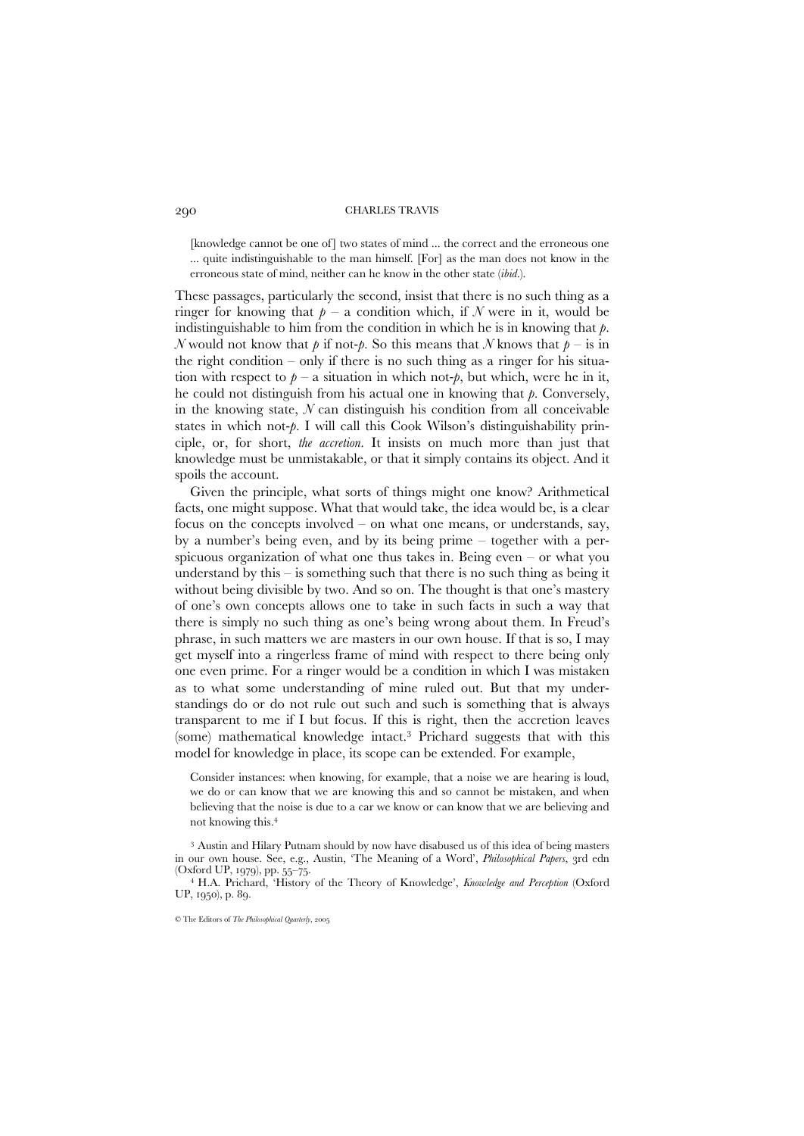[knowledge cannot be one of] two states of mind ... the correct and the erroneous one ... quite indistinguishable to the man himself. [For] as the man does not know in the erroneous state of mind, neither can he know in the other state (*ibid*.).

These passages, particularly the second, insist that there is no such thing as a ringer for knowing that  $p - a$  condition which, if *N* were in it, would be indistinguishable to him from the condition in which he is in knowing that *p*. *N* would not know that *p* if not-*p*. So this means that *N* knows that  $p -$  is in the right condition – only if there is no such thing as a ringer for his situation with respect to  $p - a$  situation in which not- $p$ , but which, were he in it, he could not distinguish from his actual one in knowing that *p*. Conversely, in the knowing state, *N* can distinguish his condition from all conceivable states in which not-*p*. I will call this Cook Wilson's distinguishability principle, or, for short, *the accretion*. It insists on much more than just that knowledge must be unmistakable, or that it simply contains its object. And it spoils the account.

Given the principle, what sorts of things might one know? Arithmetical facts, one might suppose. What that would take, the idea would be, is a clear focus on the concepts involved – on what one means, or understands, say, by a number's being even, and by its being prime – together with a perspicuous organization of what one thus takes in. Being even – or what you understand by this – is something such that there is no such thing as being it without being divisible by two. And so on. The thought is that one's mastery of one's own concepts allows one to take in such facts in such a way that there is simply no such thing as one's being wrong about them. In Freud's phrase, in such matters we are masters in our own house. If that is so, I may get myself into a ringerless frame of mind with respect to there being only one even prime. For a ringer would be a condition in which I was mistaken as to what some understanding of mine ruled out. But that my understandings do or do not rule out such and such is something that is always transparent to me if I but focus. If this is right, then the accretion leaves (some) mathematical knowledge intact.3 Prichard suggests that with this model for knowledge in place, its scope can be extended. For example,

Consider instances: when knowing, for example, that a noise we are hearing is loud, we do or can know that we are knowing this and so cannot be mistaken, and when believing that the noise is due to a car we know or can know that we are believing and not knowing this.4

<sup>3</sup> Austin and Hilary Putnam should by now have disabused us of this idea of being masters in our own house. See, e.g., Austin, 'The Meaning of a Word', *Philosophical Papers*, 3rd edn (Oxford UP, 1979), pp.  $55-75$ .

<sup>4</sup> H.A. Prichard, 'History of the Theory of Knowledge', *Knowledge and Perception* (Oxford UP, 1950), p. 89.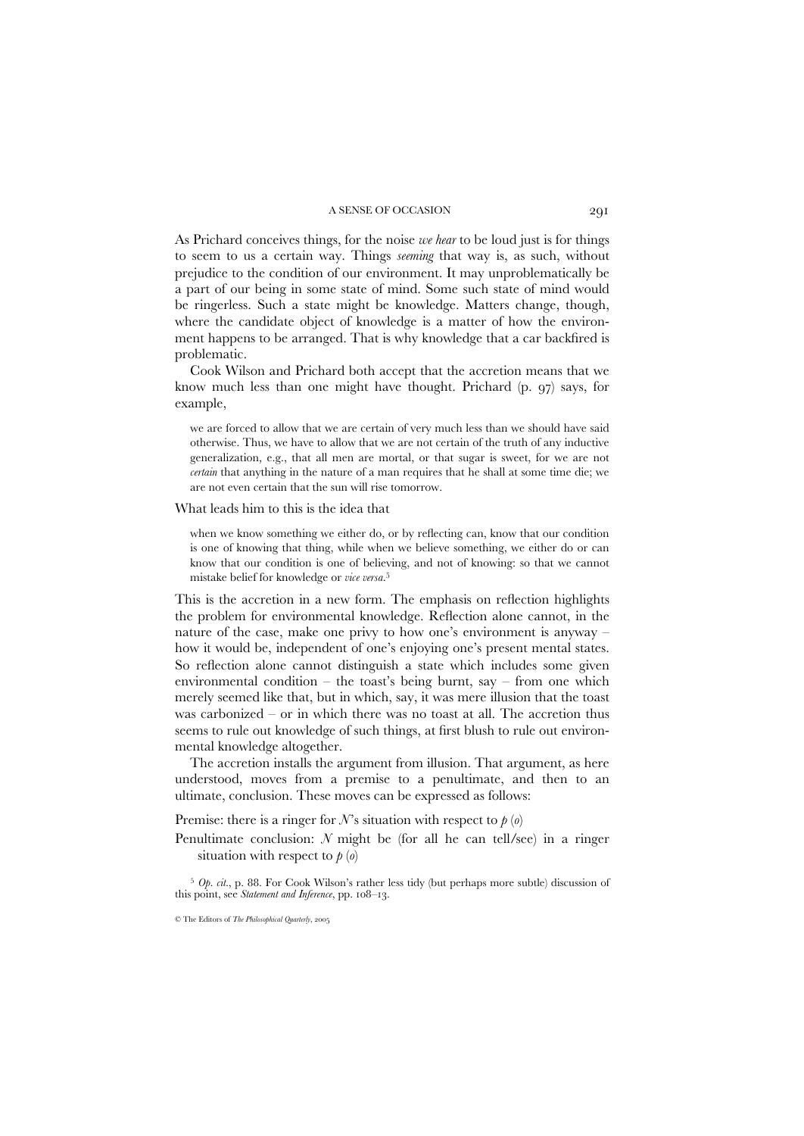As Prichard conceives things, for the noise *we hear* to be loud just is for things to seem to us a certain way. Things *seeming* that way is, as such, without prejudice to the condition of our environment. It may unproblematically be a part of our being in some state of mind. Some such state of mind would be ringerless. Such a state might be knowledge. Matters change, though, where the candidate object of knowledge is a matter of how the environment happens to be arranged. That is why knowledge that a car backfired is problematic.

Cook Wilson and Prichard both accept that the accretion means that we know much less than one might have thought. Prichard  $(p, q7)$  says, for example,

we are forced to allow that we are certain of very much less than we should have said otherwise. Thus, we have to allow that we are not certain of the truth of any inductive generalization, e.g., that all men are mortal, or that sugar is sweet, for we are not *certain* that anything in the nature of a man requires that he shall at some time die; we are not even certain that the sun will rise tomorrow.

What leads him to this is the idea that

when we know something we either do, or by reflecting can, know that our condition is one of knowing that thing, while when we believe something, we either do or can know that our condition is one of believing, and not of knowing: so that we cannot mistake belief for knowledge or *vice versa*.5

This is the accretion in a new form. The emphasis on reflection highlights the problem for environmental knowledge. Reflection alone cannot, in the nature of the case, make one privy to how one's environment is anyway – how it would be, independent of one's enjoying one's present mental states. So reflection alone cannot distinguish a state which includes some given environmental condition – the toast's being burnt, say – from one which merely seemed like that, but in which, say, it was mere illusion that the toast was carbonized – or in which there was no toast at all. The accretion thus seems to rule out knowledge of such things, at first blush to rule out environmental knowledge altogether.

The accretion installs the argument from illusion. That argument, as here understood, moves from a premise to a penultimate, and then to an ultimate, conclusion. These moves can be expressed as follows:

Premise: there is a ringer for  $N$ 's situation with respect to  $p(\theta)$ 

Penultimate conclusion: *N* might be (for all he can tell/see) in a ringer situation with respect to *p* (*o*)

<sup>&</sup>lt;sup>5</sup> *Op. cit.*, p. 88. For Cook Wilson's rather less tidy (but perhaps more subtle) discussion of this point, see *Statement and Inference*, pp. 108-13.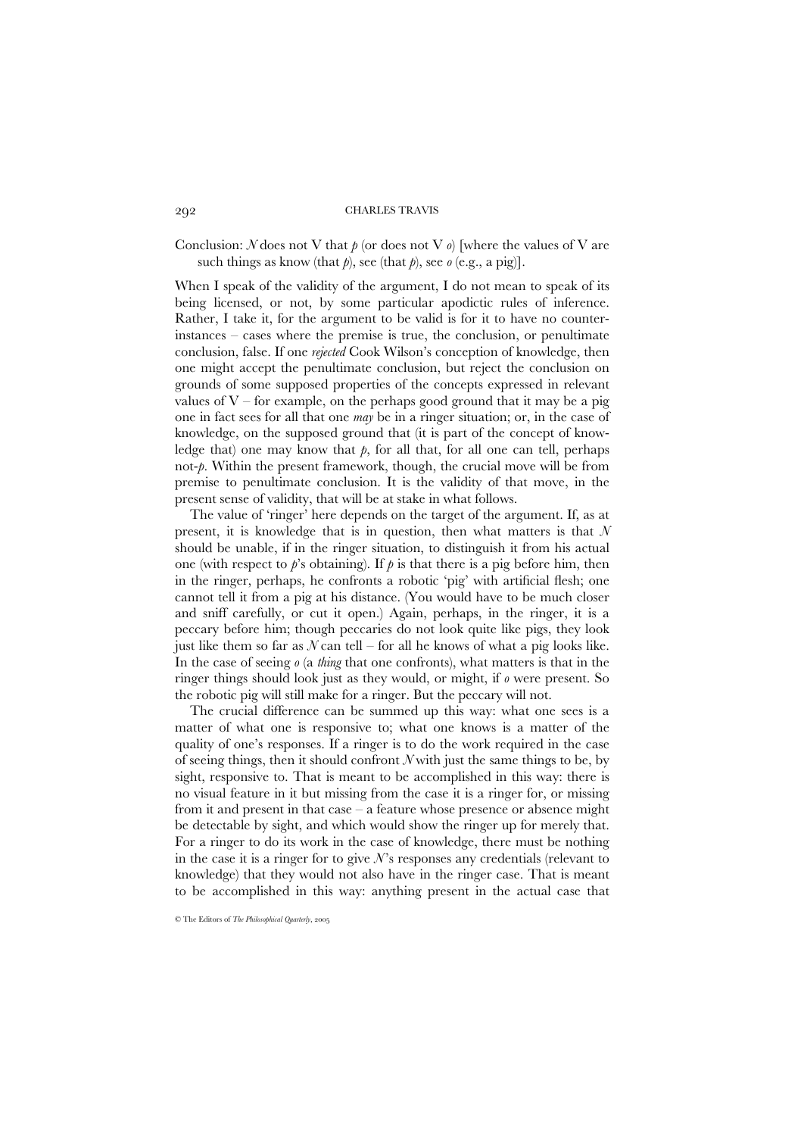Conclusion: *N* does not V that *p* (or does not V *o*) [where the values of V are such things as know (that  $p$ ), see (that  $p$ ), see  $o$  (e.g., a pig)].

When I speak of the validity of the argument, I do not mean to speak of its being licensed, or not, by some particular apodictic rules of inference. Rather, I take it, for the argument to be valid is for it to have no counterinstances – cases where the premise is true, the conclusion, or penultimate conclusion, false. If one *rejected* Cook Wilson's conception of knowledge, then one might accept the penultimate conclusion, but reject the conclusion on grounds of some supposed properties of the concepts expressed in relevant values of  $V$  – for example, on the perhaps good ground that it may be a pig one in fact sees for all that one *may* be in a ringer situation; or, in the case of knowledge, on the supposed ground that (it is part of the concept of knowledge that) one may know that  $p$ , for all that, for all one can tell, perhaps not-*p*. Within the present framework, though, the crucial move will be from premise to penultimate conclusion. It is the validity of that move, in the present sense of validity, that will be at stake in what follows.

The value of 'ringer' here depends on the target of the argument. If, as at present, it is knowledge that is in question, then what matters is that *N* should be unable, if in the ringer situation, to distinguish it from his actual one (with respect to  $p$ 's obtaining). If  $p$  is that there is a pig before him, then in the ringer, perhaps, he confronts a robotic 'pig' with artificial flesh; one cannot tell it from a pig at his distance. (You would have to be much closer and sniff carefully, or cut it open.) Again, perhaps, in the ringer, it is a peccary before him; though peccaries do not look quite like pigs, they look just like them so far as  $N$  can tell – for all he knows of what a pig looks like. In the case of seeing *o* (a *thing* that one confronts), what matters is that in the ringer things should look just as they would, or might, if *o* were present. So the robotic pig will still make for a ringer. But the peccary will not.

The crucial difference can be summed up this way: what one sees is a matter of what one is responsive to; what one knows is a matter of the quality of one's responses. If a ringer is to do the work required in the case of seeing things, then it should confront *N* with just the same things to be, by sight, responsive to. That is meant to be accomplished in this way: there is no visual feature in it but missing from the case it is a ringer for, or missing from it and present in that case – a feature whose presence or absence might be detectable by sight, and which would show the ringer up for merely that. For a ringer to do its work in the case of knowledge, there must be nothing in the case it is a ringer for to give *N*'s responses any credentials (relevant to knowledge) that they would not also have in the ringer case. That is meant to be accomplished in this way: anything present in the actual case that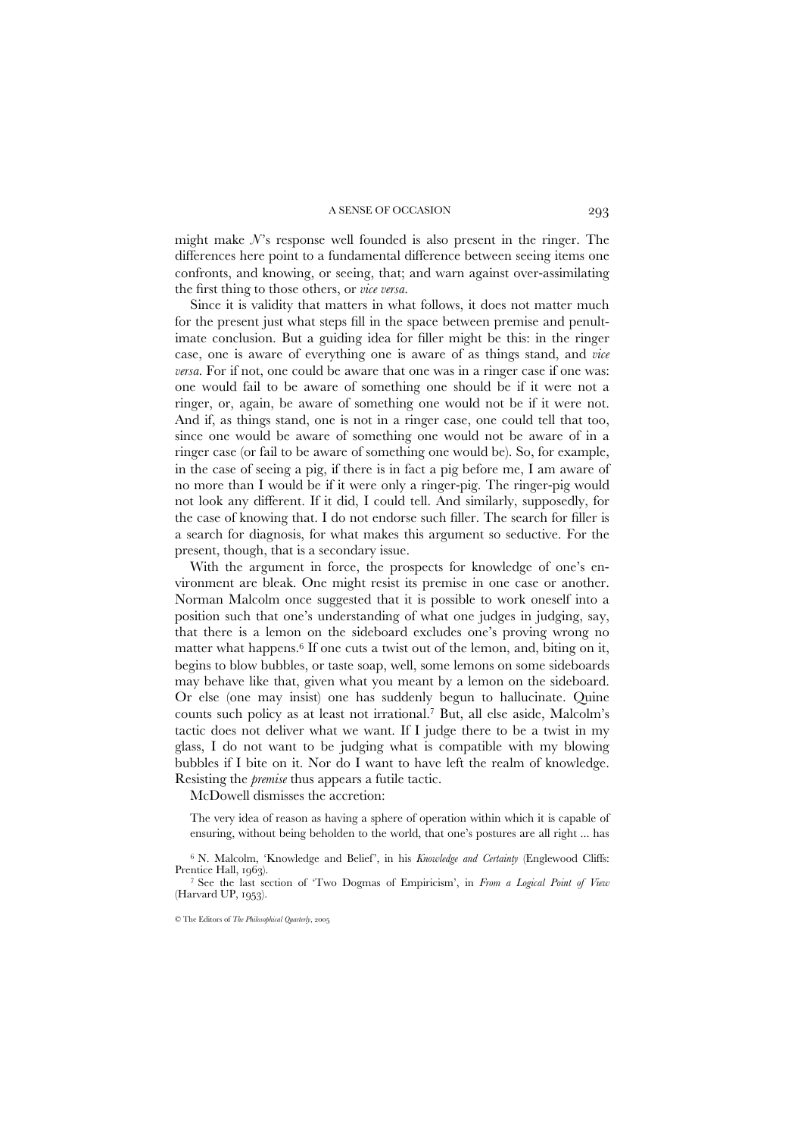might make *N*'s response well founded is also present in the ringer. The differences here point to a fundamental difference between seeing items one confronts, and knowing, or seeing, that; and warn against over-assimilating the first thing to those others, or *vice versa*.

Since it is validity that matters in what follows, it does not matter much for the present just what steps fill in the space between premise and penultimate conclusion. But a guiding idea for filler might be this: in the ringer case, one is aware of everything one is aware of as things stand, and *vice versa*. For if not, one could be aware that one was in a ringer case if one was: one would fail to be aware of something one should be if it were not a ringer, or, again, be aware of something one would not be if it were not. And if, as things stand, one is not in a ringer case, one could tell that too, since one would be aware of something one would not be aware of in a ringer case (or fail to be aware of something one would be). So, for example, in the case of seeing a pig, if there is in fact a pig before me, I am aware of no more than I would be if it were only a ringer-pig. The ringer-pig would not look any different. If it did, I could tell. And similarly, supposedly, for the case of knowing that. I do not endorse such filler. The search for filler is a search for diagnosis, for what makes this argument so seductive. For the present, though, that is a secondary issue.

With the argument in force, the prospects for knowledge of one's environment are bleak. One might resist its premise in one case or another. Norman Malcolm once suggested that it is possible to work oneself into a position such that one's understanding of what one judges in judging, say, that there is a lemon on the sideboard excludes one's proving wrong no matter what happens.<sup>6</sup> If one cuts a twist out of the lemon, and, biting on it, begins to blow bubbles, or taste soap, well, some lemons on some sideboards may behave like that, given what you meant by a lemon on the sideboard. Or else (one may insist) one has suddenly begun to hallucinate. Quine counts such policy as at least not irrational.7 But, all else aside, Malcolm's tactic does not deliver what we want. If I judge there to be a twist in my glass, I do not want to be judging what is compatible with my blowing bubbles if I bite on it. Nor do I want to have left the realm of knowledge. Resisting the *premise* thus appears a futile tactic.

McDowell dismisses the accretion:

The very idea of reason as having a sphere of operation within which it is capable of ensuring, without being beholden to the world, that one's postures are all right ... has

<sup>6</sup> N. Malcolm, 'Knowledge and Belief', in his *Knowledge and Certainty* (Englewood Cliffs: Prentice Hall, 1963).

<sup>7</sup> See the last section of 'Two Dogmas of Empiricism', in *From a Logical Point of View* (Harvard UP, 1953).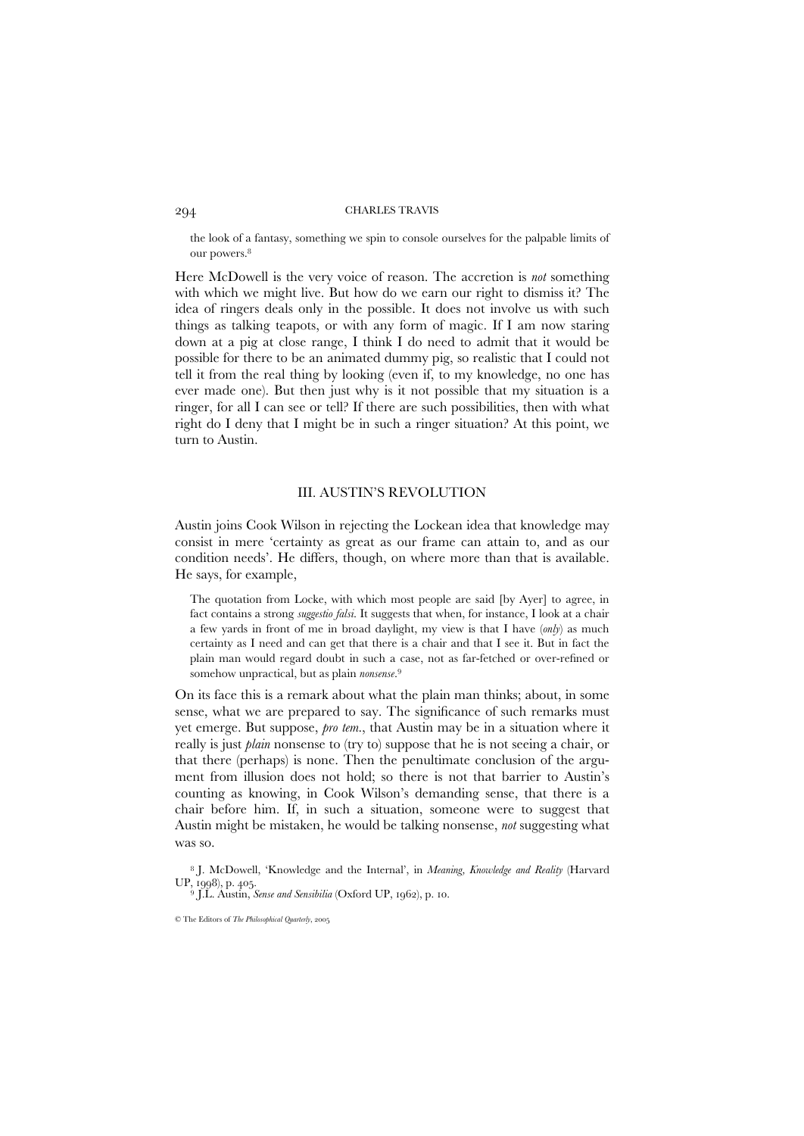the look of a fantasy, something we spin to console ourselves for the palpable limits of our powers.8

Here McDowell is the very voice of reason. The accretion is *not* something with which we might live. But how do we earn our right to dismiss it? The idea of ringers deals only in the possible. It does not involve us with such things as talking teapots, or with any form of magic. If I am now staring down at a pig at close range, I think I do need to admit that it would be possible for there to be an animated dummy pig, so realistic that I could not tell it from the real thing by looking (even if, to my knowledge, no one has ever made one). But then just why is it not possible that my situation is a ringer, for all I can see or tell? If there are such possibilities, then with what right do I deny that I might be in such a ringer situation? At this point, we turn to Austin.

# III. AUSTIN'S REVOLUTION

Austin joins Cook Wilson in rejecting the Lockean idea that knowledge may consist in mere 'certainty as great as our frame can attain to, and as our condition needs'. He differs, though, on where more than that is available. He says, for example,

The quotation from Locke, with which most people are said [by Ayer] to agree, in fact contains a strong *suggestio falsi*. It suggests that when, for instance, I look at a chair a few yards in front of me in broad daylight, my view is that I have (*only*) as much certainty as I need and can get that there is a chair and that I see it. But in fact the plain man would regard doubt in such a case, not as far-fetched or over-refined or somehow unpractical, but as plain *nonsense*.9

On its face this is a remark about what the plain man thinks; about, in some sense, what we are prepared to say. The significance of such remarks must yet emerge. But suppose, *pro tem.*, that Austin may be in a situation where it really is just *plain* nonsense to (try to) suppose that he is not seeing a chair, or that there (perhaps) is none. Then the penultimate conclusion of the argument from illusion does not hold; so there is not that barrier to Austin's counting as knowing, in Cook Wilson's demanding sense, that there is a chair before him. If, in such a situation, someone were to suggest that Austin might be mistaken, he would be talking nonsense, *not* suggesting what was so.

<sup>8</sup> J. McDowell, 'Knowledge and the Internal', in *Meaning, Knowledge and Reality* (Harvard UP, 1998), p. 405.

<sup>&</sup>lt;sup>9</sup> J.L. Austin, *Sense and Sensibilia* (Oxford UP, 1962), p. 10.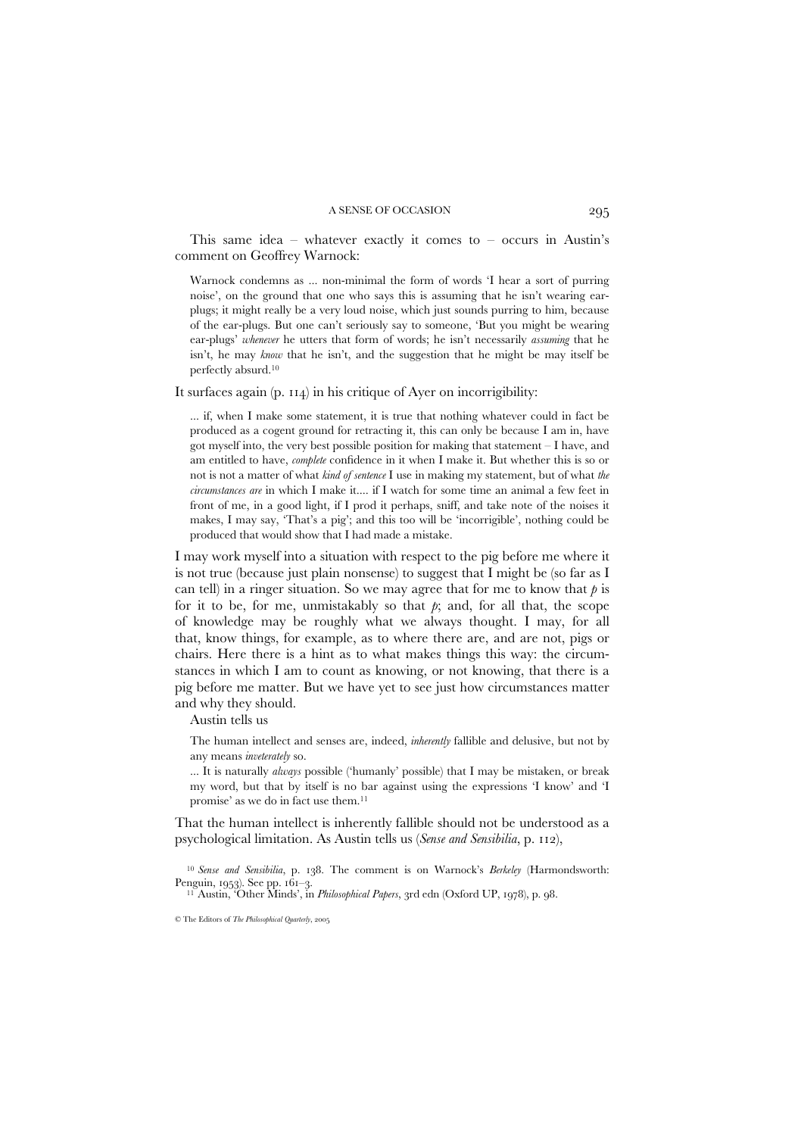This same idea – whatever exactly it comes to – occurs in Austin's comment on Geoffrey Warnock:

Warnock condemns as ... non-minimal the form of words 'I hear a sort of purring noise', on the ground that one who says this is assuming that he isn't wearing earplugs; it might really be a very loud noise, which just sounds purring to him, because of the ear-plugs. But one can't seriously say to someone, 'But you might be wearing ear-plugs' *whenever* he utters that form of words; he isn't necessarily *assuming* that he isn't, he may *know* that he isn't, and the suggestion that he might be may itself be perfectly absurd.10

It surfaces again  $(p. 114)$  in his critique of Ayer on incorrigibility:

... if, when I make some statement, it is true that nothing whatever could in fact be produced as a cogent ground for retracting it, this can only be because I am in, have got myself into, the very best possible position for making that statement – I have, and am entitled to have, *complete* confidence in it when I make it. But whether this is so or not is not a matter of what *kind of sentence* I use in making my statement, but of what *the circumstances are* in which I make it.... if I watch for some time an animal a few feet in front of me, in a good light, if I prod it perhaps, sniff, and take note of the noises it makes, I may say, 'That's a pig'; and this too will be 'incorrigible', nothing could be produced that would show that I had made a mistake.

I may work myself into a situation with respect to the pig before me where it is not true (because just plain nonsense) to suggest that I might be (so far as I can tell) in a ringer situation. So we may agree that for me to know that  $p$  is for it to be, for me, unmistakably so that  $p$ ; and, for all that, the scope of knowledge may be roughly what we always thought. I may, for all that, know things, for example, as to where there are, and are not, pigs or chairs. Here there is a hint as to what makes things this way: the circumstances in which I am to count as knowing, or not knowing, that there is a pig before me matter. But we have yet to see just how circumstances matter and why they should.

Austin tells us

The human intellect and senses are, indeed, *inherently* fallible and delusive, but not by any means *inveterately* so.

... It is naturally *always* possible ('humanly' possible) that I may be mistaken, or break my word, but that by itself is no bar against using the expressions 'I know' and 'I promise' as we do in fact use them.11

That the human intellect is inherently fallible should not be understood as a psychological limitation. As Austin tells us (*Sense and Sensibilia*, p. 112),

<sup>10</sup> Sense and Sensibilia, p. 138. The comment is on Warnock's Berkeley (Harmondsworth: Penguin,  $1953$ . See pp.  $161-3$ .

<sup>11</sup> Austin, 'Other Minds', in *Philosophical Papers*, 3rd edn (Oxford UP, 1978), p. 98.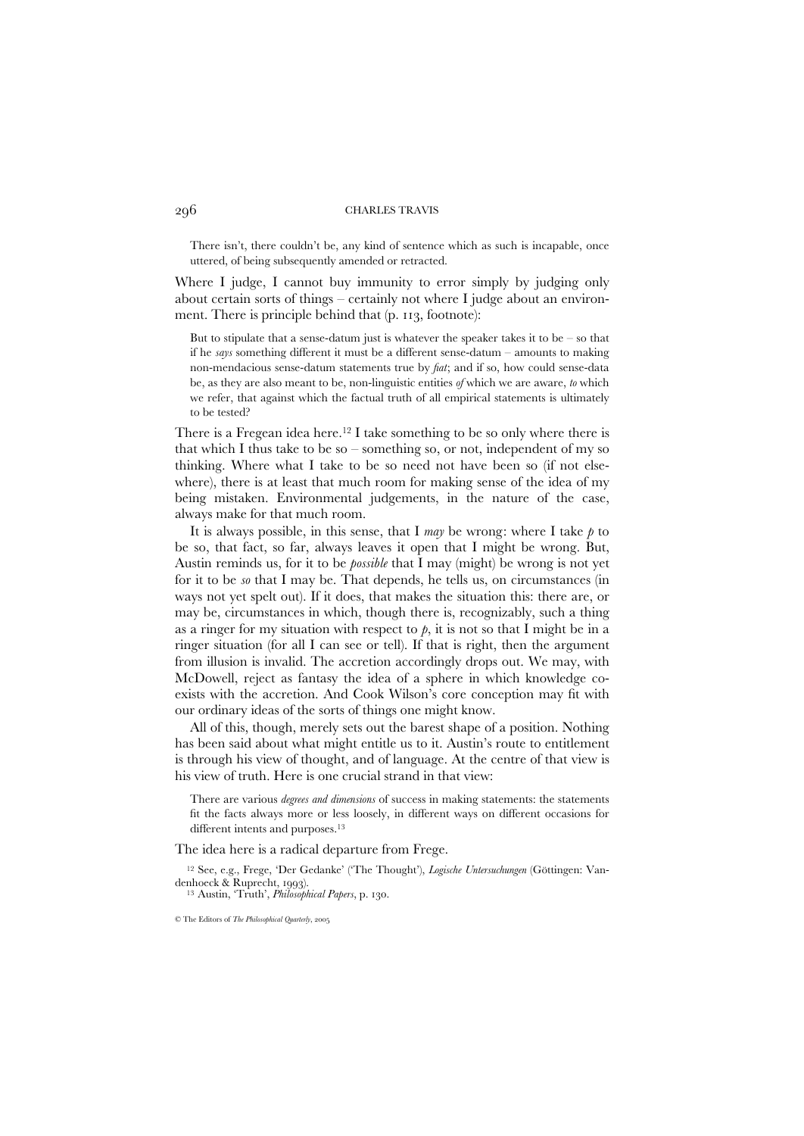There isn't, there couldn't be, any kind of sentence which as such is incapable, once uttered, of being subsequently amended or retracted.

Where I judge, I cannot buy immunity to error simply by judging only about certain sorts of things – certainly not where I judge about an environment. There is principle behind that  $(p. 113, 600)$ :

But to stipulate that a sense-datum just is whatever the speaker takes it to be – so that if he *says* something different it must be a different sense-datum – amounts to making non-mendacious sense-datum statements true by *fiat*; and if so, how could sense-data be, as they are also meant to be, non-linguistic entities *of* which we are aware, *to* which we refer, that against which the factual truth of all empirical statements is ultimately to be tested?

There is a Fregean idea here.<sup>12</sup> I take something to be so only where there is that which I thus take to be so – something so, or not, independent of my so thinking. Where what I take to be so need not have been so (if not elsewhere), there is at least that much room for making sense of the idea of my being mistaken. Environmental judgements, in the nature of the case, always make for that much room.

It is always possible, in this sense, that I *may* be wrong: where I take *p* to be so, that fact, so far, always leaves it open that I might be wrong. But, Austin reminds us, for it to be *possible* that I may (might) be wrong is not yet for it to be *so* that I may be. That depends, he tells us, on circumstances (in ways not yet spelt out). If it does, that makes the situation this: there are, or may be, circumstances in which, though there is, recognizably, such a thing as a ringer for my situation with respect to  $p$ , it is not so that I might be in a ringer situation (for all I can see or tell). If that is right, then the argument from illusion is invalid. The accretion accordingly drops out. We may, with McDowell, reject as fantasy the idea of a sphere in which knowledge coexists with the accretion. And Cook Wilson's core conception may fit with our ordinary ideas of the sorts of things one might know.

All of this, though, merely sets out the barest shape of a position. Nothing has been said about what might entitle us to it. Austin's route to entitlement is through his view of thought, and of language. At the centre of that view is his view of truth. Here is one crucial strand in that view:

There are various *degrees and dimensions* of success in making statements: the statements fit the facts always more or less loosely, in different ways on different occasions for different intents and purposes.<sup>13</sup>

The idea here is a radical departure from Frege.

<sup>12</sup> See, e.g., Frege, 'Der Gedanke' ('The Thought'), *Logische Untersuchungen* (Göttingen: Vandenhoeck & Ruprecht, 1993).

<sup>13</sup> Austin, 'Truth', *Philosophical Papers*, p. 130.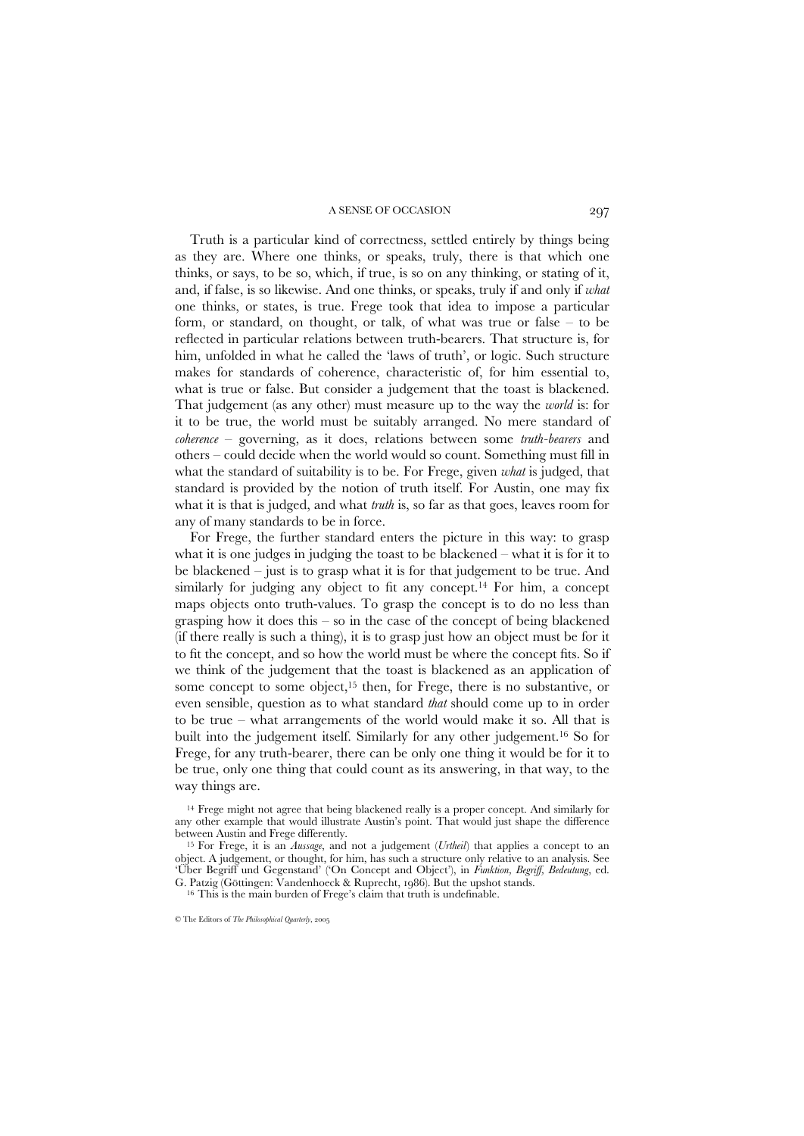Truth is a particular kind of correctness, settled entirely by things being as they are. Where one thinks, or speaks, truly, there is that which one thinks, or says, to be so, which, if true, is so on any thinking, or stating of it, and, if false, is so likewise. And one thinks, or speaks, truly if and only if *what* one thinks, or states, is true. Frege took that idea to impose a particular form, or standard, on thought, or talk, of what was true or false – to be reflected in particular relations between truth-bearers. That structure is, for him, unfolded in what he called the 'laws of truth', or logic. Such structure makes for standards of coherence, characteristic of, for him essential to, what is true or false. But consider a judgement that the toast is blackened. That judgement (as any other) must measure up to the way the *world* is: for it to be true, the world must be suitably arranged. No mere standard of *coherence* – governing, as it does, relations between some *truth-bearers* and others – could decide when the world would so count. Something must fill in what the standard of suitability is to be. For Frege, given *what* is judged, that standard is provided by the notion of truth itself. For Austin, one may fix what it is that is judged, and what *truth* is, so far as that goes, leaves room for any of many standards to be in force.

For Frege, the further standard enters the picture in this way: to grasp what it is one judges in judging the toast to be blackened – what it is for it to be blackened – just is to grasp what it is for that judgement to be true. And similarly for judging any object to fit any concept.<sup>14</sup> For him, a concept maps objects onto truth-values. To grasp the concept is to do no less than grasping how it does this – so in the case of the concept of being blackened (if there really is such a thing), it is to grasp just how an object must be for it to fit the concept, and so how the world must be where the concept fits. So if we think of the judgement that the toast is blackened as an application of some concept to some object,<sup>15</sup> then, for Frege, there is no substantive, or even sensible, question as to what standard *that* should come up to in order to be true – what arrangements of the world would make it so. All that is built into the judgement itself. Similarly for any other judgement.16 So for Frege, for any truth-bearer, there can be only one thing it would be for it to be true, only one thing that could count as its answering, in that way, to the way things are.

<sup>14</sup> Frege might not agree that being blackened really is a proper concept. And similarly for any other example that would illustrate Austin's point. That would just shape the difference between Austin and Frege differently.

<sup>15</sup> For Frege, it is an *Aussage*, and not a judgement (*Urtheil*) that applies a concept to an object. A judgement, or thought, for him, has such a structure only relative to an analysis. See 'Über Begriff und Gegenstand' ('On Concept and Object'), in *Funktion, Begriff, Bedeutung*, ed. G. Patzig (Göttingen: Vandenhoeck & Ruprecht, 1986). But the upshot stands.

<sup>16</sup> This is the main burden of Frege's claim that truth is undefinable.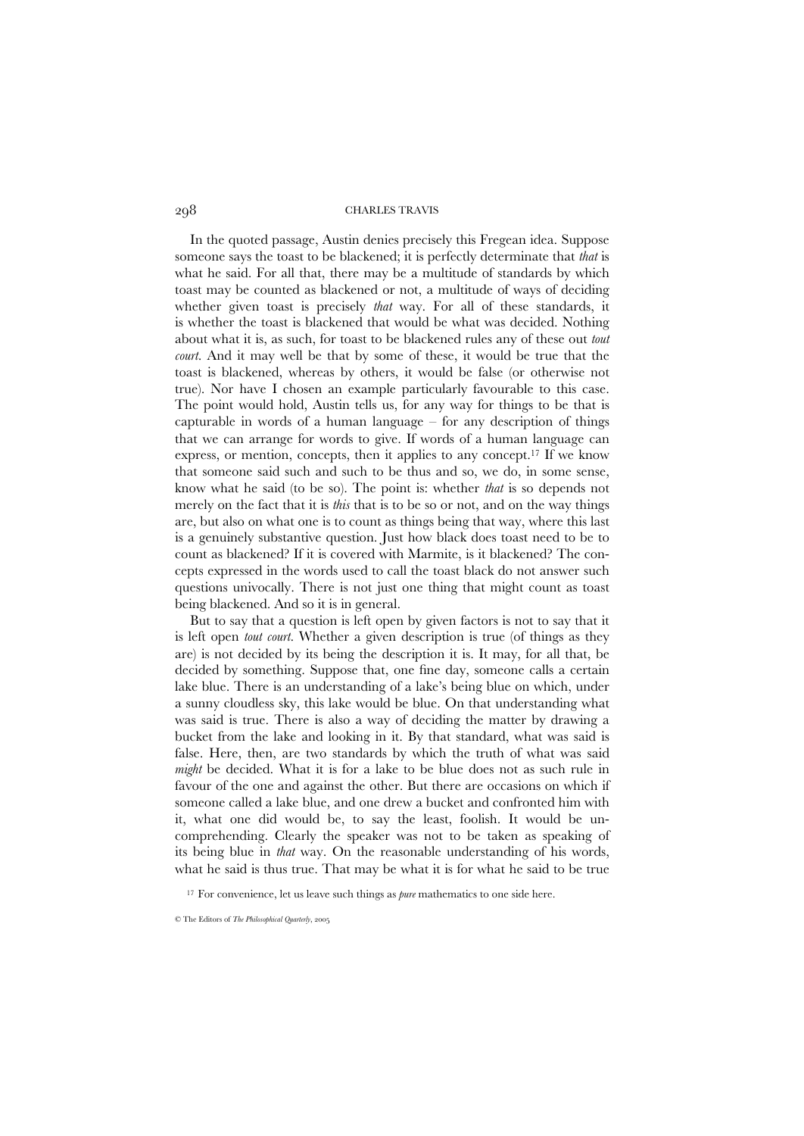In the quoted passage, Austin denies precisely this Fregean idea. Suppose someone says the toast to be blackened; it is perfectly determinate that *that* is what he said. For all that, there may be a multitude of standards by which toast may be counted as blackened or not, a multitude of ways of deciding whether given toast is precisely *that* way. For all of these standards, it is whether the toast is blackened that would be what was decided. Nothing about what it is, as such, for toast to be blackened rules any of these out *tout court*. And it may well be that by some of these, it would be true that the toast is blackened, whereas by others, it would be false (or otherwise not true). Nor have I chosen an example particularly favourable to this case. The point would hold, Austin tells us, for any way for things to be that is capturable in words of a human language – for any description of things that we can arrange for words to give. If words of a human language can express, or mention, concepts, then it applies to any concept.17 If we know that someone said such and such to be thus and so, we do, in some sense, know what he said (to be so). The point is: whether *that* is so depends not merely on the fact that it is *this* that is to be so or not, and on the way things are, but also on what one is to count as things being that way, where this last is a genuinely substantive question. Just how black does toast need to be to count as blackened? If it is covered with Marmite, is it blackened? The concepts expressed in the words used to call the toast black do not answer such questions univocally. There is not just one thing that might count as toast being blackened. And so it is in general.

But to say that a question is left open by given factors is not to say that it is left open *tout court*. Whether a given description is true (of things as they are) is not decided by its being the description it is. It may, for all that, be decided by something. Suppose that, one fine day, someone calls a certain lake blue. There is an understanding of a lake's being blue on which, under a sunny cloudless sky, this lake would be blue. On that understanding what was said is true. There is also a way of deciding the matter by drawing a bucket from the lake and looking in it. By that standard, what was said is false. Here, then, are two standards by which the truth of what was said *might* be decided. What it is for a lake to be blue does not as such rule in favour of the one and against the other. But there are occasions on which if someone called a lake blue, and one drew a bucket and confronted him with it, what one did would be, to say the least, foolish. It would be uncomprehending. Clearly the speaker was not to be taken as speaking of its being blue in *that* way. On the reasonable understanding of his words, what he said is thus true. That may be what it is for what he said to be true

<sup>17</sup> For convenience, let us leave such things as *pure* mathematics to one side here.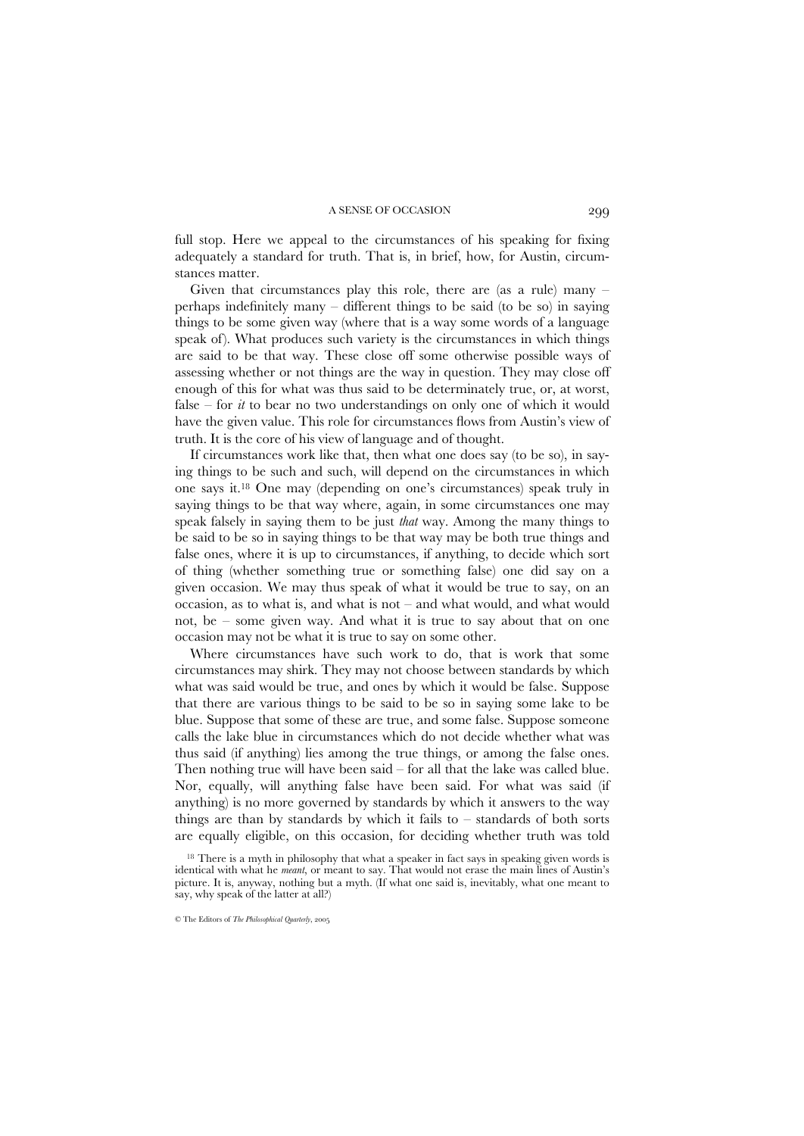full stop. Here we appeal to the circumstances of his speaking for fixing adequately a standard for truth. That is, in brief, how, for Austin, circumstances matter.

Given that circumstances play this role, there are (as a rule) many – perhaps indefinitely many – different things to be said (to be so) in saying things to be some given way (where that is a way some words of a language speak of). What produces such variety is the circumstances in which things are said to be that way. These close off some otherwise possible ways of assessing whether or not things are the way in question. They may close off enough of this for what was thus said to be determinately true, or, at worst, false – for *it* to bear no two understandings on only one of which it would have the given value. This role for circumstances flows from Austin's view of truth. It is the core of his view of language and of thought.

If circumstances work like that, then what one does say (to be so), in saying things to be such and such, will depend on the circumstances in which one says it.18 One may (depending on one's circumstances) speak truly in saying things to be that way where, again, in some circumstances one may speak falsely in saying them to be just *that* way. Among the many things to be said to be so in saying things to be that way may be both true things and false ones, where it is up to circumstances, if anything, to decide which sort of thing (whether something true or something false) one did say on a given occasion. We may thus speak of what it would be true to say, on an occasion, as to what is, and what is not – and what would, and what would not, be – some given way. And what it is true to say about that on one occasion may not be what it is true to say on some other.

Where circumstances have such work to do, that is work that some circumstances may shirk. They may not choose between standards by which what was said would be true, and ones by which it would be false. Suppose that there are various things to be said to be so in saying some lake to be blue. Suppose that some of these are true, and some false. Suppose someone calls the lake blue in circumstances which do not decide whether what was thus said (if anything) lies among the true things, or among the false ones. Then nothing true will have been said – for all that the lake was called blue. Nor, equally, will anything false have been said. For what was said (if anything) is no more governed by standards by which it answers to the way things are than by standards by which it fails to – standards of both sorts are equally eligible, on this occasion, for deciding whether truth was told

<sup>&</sup>lt;sup>18</sup> There is a myth in philosophy that what a speaker in fact says in speaking given words is identical with what he *meant*, or meant to say. That would not erase the main lines of Austin's picture. It is, anyway, nothing but a myth. (If what one said is, inevitably, what one meant to say, why speak of the latter at all?)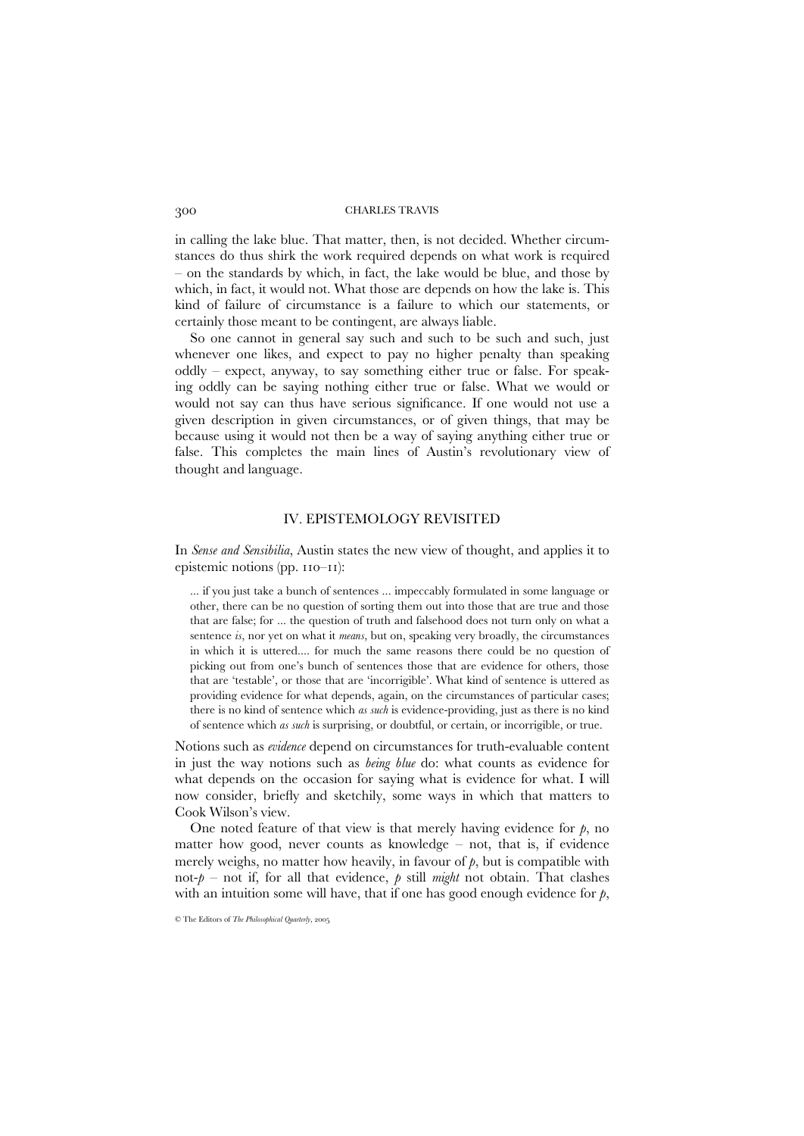in calling the lake blue. That matter, then, is not decided. Whether circumstances do thus shirk the work required depends on what work is required – on the standards by which, in fact, the lake would be blue, and those by which, in fact, it would not. What those are depends on how the lake is. This kind of failure of circumstance is a failure to which our statements, or certainly those meant to be contingent, are always liable.

So one cannot in general say such and such to be such and such, just whenever one likes, and expect to pay no higher penalty than speaking oddly – expect, anyway, to say something either true or false. For speaking oddly can be saying nothing either true or false. What we would or would not say can thus have serious significance. If one would not use a given description in given circumstances, or of given things, that may be because using it would not then be a way of saying anything either true or false. This completes the main lines of Austin's revolutionary view of thought and language.

# IV. EPISTEMOLOGY REVISITED

In *Sense and Sensibilia*, Austin states the new view of thought, and applies it to epistemic notions (pp.  $110–11$ ):

... if you just take a bunch of sentences ... impeccably formulated in some language or other, there can be no question of sorting them out into those that are true and those that are false; for ... the question of truth and falsehood does not turn only on what a sentence *is*, nor yet on what it *means*, but on, speaking very broadly, the circumstances in which it is uttered.... for much the same reasons there could be no question of picking out from one's bunch of sentences those that are evidence for others, those that are 'testable', or those that are 'incorrigible'. What kind of sentence is uttered as providing evidence for what depends, again, on the circumstances of particular cases; there is no kind of sentence which *as such* is evidence-providing, just as there is no kind of sentence which *as such* is surprising, or doubtful, or certain, or incorrigible, or true.

Notions such as *evidence* depend on circumstances for truth-evaluable content in just the way notions such as *being blue* do: what counts as evidence for what depends on the occasion for saying what is evidence for what. I will now consider, briefly and sketchily, some ways in which that matters to Cook Wilson's view.

One noted feature of that view is that merely having evidence for  $p$ , no matter how good, never counts as knowledge – not, that is, if evidence merely weighs, no matter how heavily, in favour of *p*, but is compatible with not- $p$  – not if, for all that evidence,  $p$  still *might* not obtain. That clashes with an intuition some will have, that if one has good enough evidence for *p*,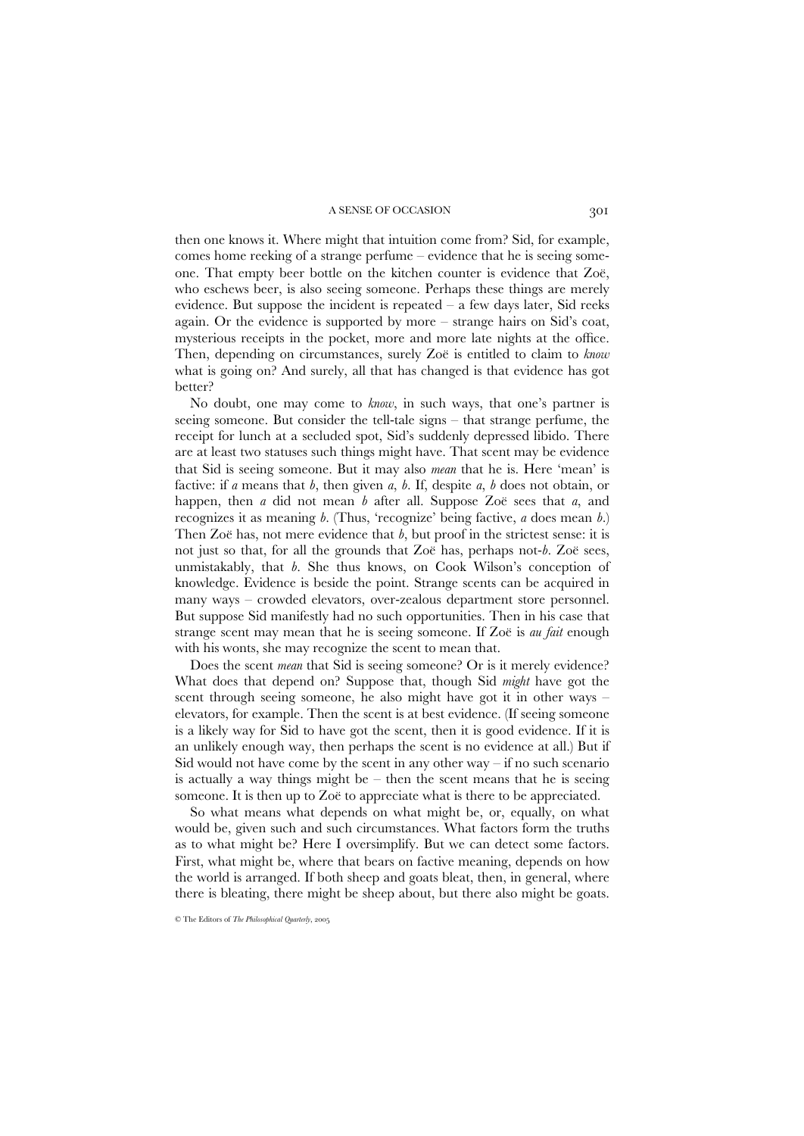then one knows it. Where might that intuition come from? Sid, for example, comes home reeking of a strange perfume – evidence that he is seeing someone. That empty beer bottle on the kitchen counter is evidence that Zoë, who eschews beer, is also seeing someone. Perhaps these things are merely evidence. But suppose the incident is repeated – a few days later, Sid reeks again. Or the evidence is supported by more – strange hairs on Sid's coat, mysterious receipts in the pocket, more and more late nights at the office. Then, depending on circumstances, surely Zoë is entitled to claim to *know* what is going on? And surely, all that has changed is that evidence has got better?

No doubt, one may come to *know*, in such ways, that one's partner is seeing someone. But consider the tell-tale signs – that strange perfume, the receipt for lunch at a secluded spot, Sid's suddenly depressed libido. There are at least two statuses such things might have. That scent may be evidence that Sid is seeing someone. But it may also *mean* that he is. Here 'mean' is factive: if *a* means that *b*, then given *a*, *b*. If, despite *a*, *b* does not obtain, or happen, then *a* did not mean *b* after all. Suppose Zoë sees that *a*, and recognizes it as meaning *b*. (Thus, 'recognize' being factive, *a* does mean *b*.) Then Zoë has, not mere evidence that *b*, but proof in the strictest sense: it is not just so that, for all the grounds that Zoë has, perhaps not-*b*. Zoë sees, unmistakably, that *b*. She thus knows, on Cook Wilson's conception of knowledge. Evidence is beside the point. Strange scents can be acquired in many ways – crowded elevators, over-zealous department store personnel. But suppose Sid manifestly had no such opportunities. Then in his case that strange scent may mean that he is seeing someone. If Zoë is *au fait* enough with his wonts, she may recognize the scent to mean that.

Does the scent *mean* that Sid is seeing someone? Or is it merely evidence? What does that depend on? Suppose that, though Sid *might* have got the scent through seeing someone, he also might have got it in other ways – elevators, for example. Then the scent is at best evidence. (If seeing someone is a likely way for Sid to have got the scent, then it is good evidence. If it is an unlikely enough way, then perhaps the scent is no evidence at all.) But if Sid would not have come by the scent in any other  $way - if$  no such scenario is actually a way things might be  $-$  then the scent means that he is seeing someone. It is then up to Zoë to appreciate what is there to be appreciated.

So what means what depends on what might be, or, equally, on what would be, given such and such circumstances. What factors form the truths as to what might be? Here I oversimplify. But we can detect some factors. First, what might be, where that bears on factive meaning, depends on how the world is arranged. If both sheep and goats bleat, then, in general, where there is bleating, there might be sheep about, but there also might be goats.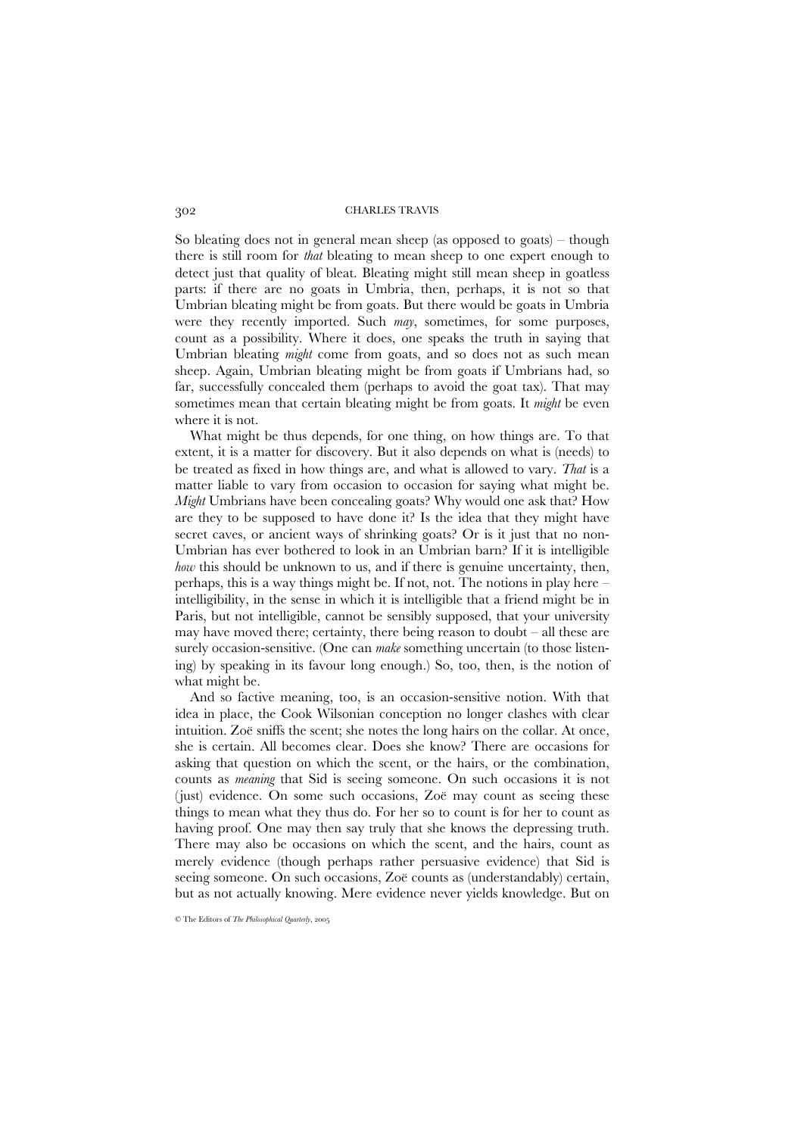So bleating does not in general mean sheep (as opposed to goats) – though there is still room for *that* bleating to mean sheep to one expert enough to detect just that quality of bleat. Bleating might still mean sheep in goatless parts: if there are no goats in Umbria, then, perhaps, it is not so that Umbrian bleating might be from goats. But there would be goats in Umbria were they recently imported. Such *may*, sometimes, for some purposes, count as a possibility. Where it does, one speaks the truth in saying that Umbrian bleating *might* come from goats, and so does not as such mean sheep. Again, Umbrian bleating might be from goats if Umbrians had, so far, successfully concealed them (perhaps to avoid the goat tax). That may sometimes mean that certain bleating might be from goats. It *might* be even where it is not.

What might be thus depends, for one thing, on how things are. To that extent, it is a matter for discovery. But it also depends on what is (needs) to be treated as fixed in how things are, and what is allowed to vary. *That* is a matter liable to vary from occasion to occasion for saying what might be. *Might* Umbrians have been concealing goats? Why would one ask that? How are they to be supposed to have done it? Is the idea that they might have secret caves, or ancient ways of shrinking goats? Or is it just that no non-Umbrian has ever bothered to look in an Umbrian barn? If it is intelligible *how* this should be unknown to us, and if there is genuine uncertainty, then, perhaps, this is a way things might be. If not, not. The notions in play here – intelligibility, in the sense in which it is intelligible that a friend might be in Paris, but not intelligible, cannot be sensibly supposed, that your university may have moved there; certainty, there being reason to doubt – all these are surely occasion-sensitive. (One can *make* something uncertain (to those listening) by speaking in its favour long enough.) So, too, then, is the notion of what might be.

And so factive meaning, too, is an occasion-sensitive notion. With that idea in place, the Cook Wilsonian conception no longer clashes with clear intuition. Zoë sniffs the scent; she notes the long hairs on the collar. At once, she is certain. All becomes clear. Does she know? There are occasions for asking that question on which the scent, or the hairs, or the combination, counts as *meaning* that Sid is seeing someone. On such occasions it is not (just) evidence. On some such occasions, Zoë may count as seeing these things to mean what they thus do. For her so to count is for her to count as having proof. One may then say truly that she knows the depressing truth. There may also be occasions on which the scent, and the hairs, count as merely evidence (though perhaps rather persuasive evidence) that Sid is seeing someone. On such occasions, Zoë counts as (understandably) certain, but as not actually knowing. Mere evidence never yields knowledge. But on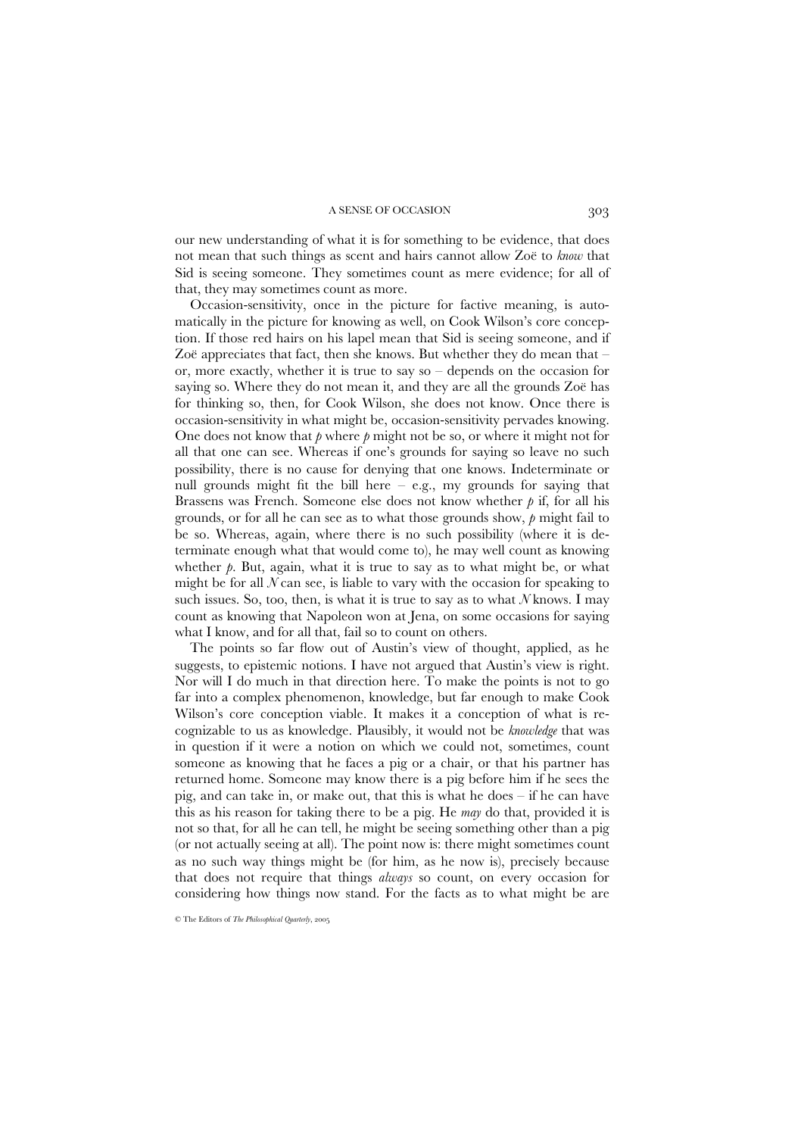our new understanding of what it is for something to be evidence, that does not mean that such things as scent and hairs cannot allow Zoë to *know* that Sid is seeing someone. They sometimes count as mere evidence; for all of that, they may sometimes count as more.

Occasion-sensitivity, once in the picture for factive meaning, is automatically in the picture for knowing as well, on Cook Wilson's core conception. If those red hairs on his lapel mean that Sid is seeing someone, and if Zoë appreciates that fact, then she knows. But whether they do mean that – or, more exactly, whether it is true to say so  $-$  depends on the occasion for saying so. Where they do not mean it, and they are all the grounds Zoë has for thinking so, then, for Cook Wilson, she does not know. Once there is occasion-sensitivity in what might be, occasion-sensitivity pervades knowing. One does not know that *p* where *p* might not be so, or where it might not for all that one can see. Whereas if one's grounds for saying so leave no such possibility, there is no cause for denying that one knows. Indeterminate or null grounds might fit the bill here  $-$  e.g., my grounds for saying that Brassens was French. Someone else does not know whether *p* if, for all his grounds, or for all he can see as to what those grounds show, *p* might fail to be so. Whereas, again, where there is no such possibility (where it is determinate enough what that would come to), he may well count as knowing whether  $p$ . But, again, what it is true to say as to what might be, or what might be for all  $N$  can see, is liable to vary with the occasion for speaking to such issues. So, too, then, is what it is true to say as to what *N* knows. I may count as knowing that Napoleon won at Jena, on some occasions for saying what I know, and for all that, fail so to count on others.

The points so far flow out of Austin's view of thought, applied, as he suggests, to epistemic notions. I have not argued that Austin's view is right. Nor will I do much in that direction here. To make the points is not to go far into a complex phenomenon, knowledge, but far enough to make Cook Wilson's core conception viable. It makes it a conception of what is recognizable to us as knowledge. Plausibly, it would not be *knowledge* that was in question if it were a notion on which we could not, sometimes, count someone as knowing that he faces a pig or a chair, or that his partner has returned home. Someone may know there is a pig before him if he sees the pig, and can take in, or make out, that this is what he does – if he can have this as his reason for taking there to be a pig. He *may* do that, provided it is not so that, for all he can tell, he might be seeing something other than a pig (or not actually seeing at all). The point now is: there might sometimes count as no such way things might be (for him, as he now is), precisely because that does not require that things *always* so count, on every occasion for considering how things now stand. For the facts as to what might be are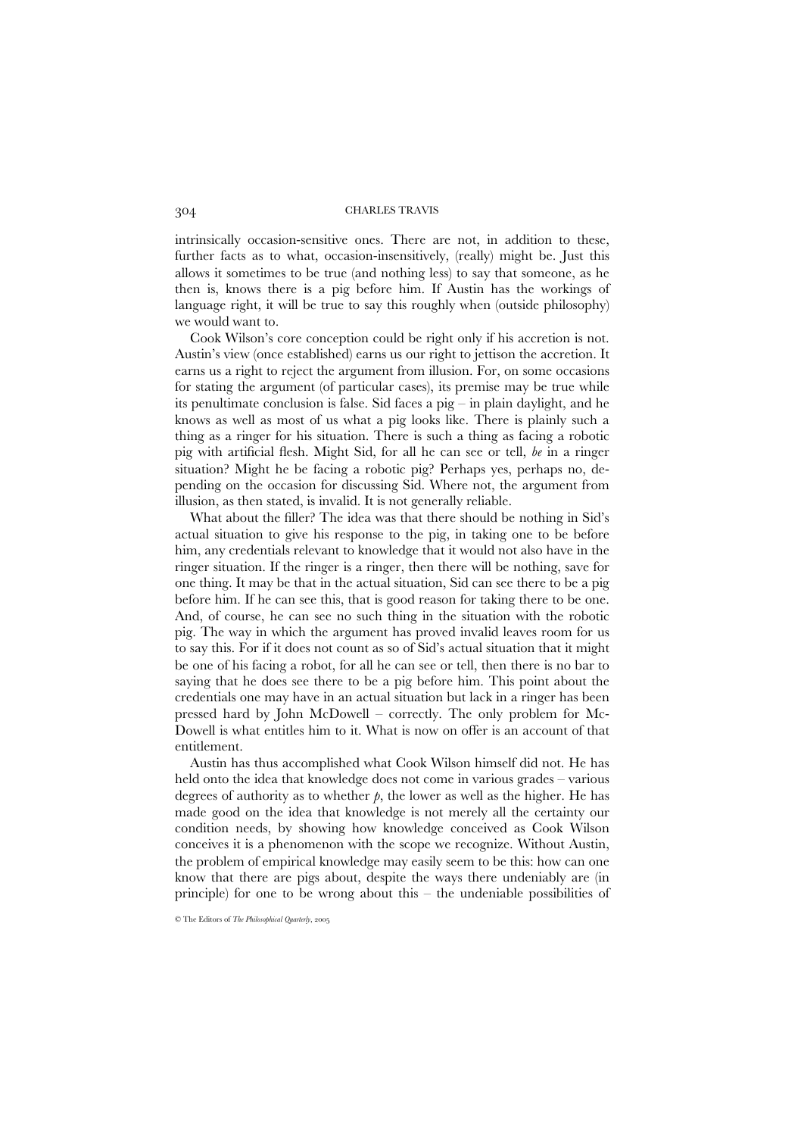intrinsically occasion-sensitive ones. There are not, in addition to these, further facts as to what, occasion-insensitively, (really) might be. Just this allows it sometimes to be true (and nothing less) to say that someone, as he then is, knows there is a pig before him. If Austin has the workings of language right, it will be true to say this roughly when (outside philosophy) we would want to.

Cook Wilson's core conception could be right only if his accretion is not. Austin's view (once established) earns us our right to jettison the accretion. It earns us a right to reject the argument from illusion. For, on some occasions for stating the argument (of particular cases), its premise may be true while its penultimate conclusion is false. Sid faces a pig – in plain daylight, and he knows as well as most of us what a pig looks like. There is plainly such a thing as a ringer for his situation. There is such a thing as facing a robotic pig with artificial flesh. Might Sid, for all he can see or tell, *be* in a ringer situation? Might he be facing a robotic pig? Perhaps yes, perhaps no, depending on the occasion for discussing Sid. Where not, the argument from illusion, as then stated, is invalid. It is not generally reliable.

What about the filler? The idea was that there should be nothing in Sid's actual situation to give his response to the pig, in taking one to be before him, any credentials relevant to knowledge that it would not also have in the ringer situation. If the ringer is a ringer, then there will be nothing, save for one thing. It may be that in the actual situation, Sid can see there to be a pig before him. If he can see this, that is good reason for taking there to be one. And, of course, he can see no such thing in the situation with the robotic pig. The way in which the argument has proved invalid leaves room for us to say this. For if it does not count as so of Sid's actual situation that it might be one of his facing a robot, for all he can see or tell, then there is no bar to saying that he does see there to be a pig before him. This point about the credentials one may have in an actual situation but lack in a ringer has been pressed hard by John McDowell – correctly. The only problem for Mc-Dowell is what entitles him to it. What is now on offer is an account of that entitlement.

Austin has thus accomplished what Cook Wilson himself did not. He has held onto the idea that knowledge does not come in various grades – various degrees of authority as to whether  $p$ , the lower as well as the higher. He has made good on the idea that knowledge is not merely all the certainty our condition needs, by showing how knowledge conceived as Cook Wilson conceives it is a phenomenon with the scope we recognize. Without Austin, the problem of empirical knowledge may easily seem to be this: how can one know that there are pigs about, despite the ways there undeniably are (in principle) for one to be wrong about this – the undeniable possibilities of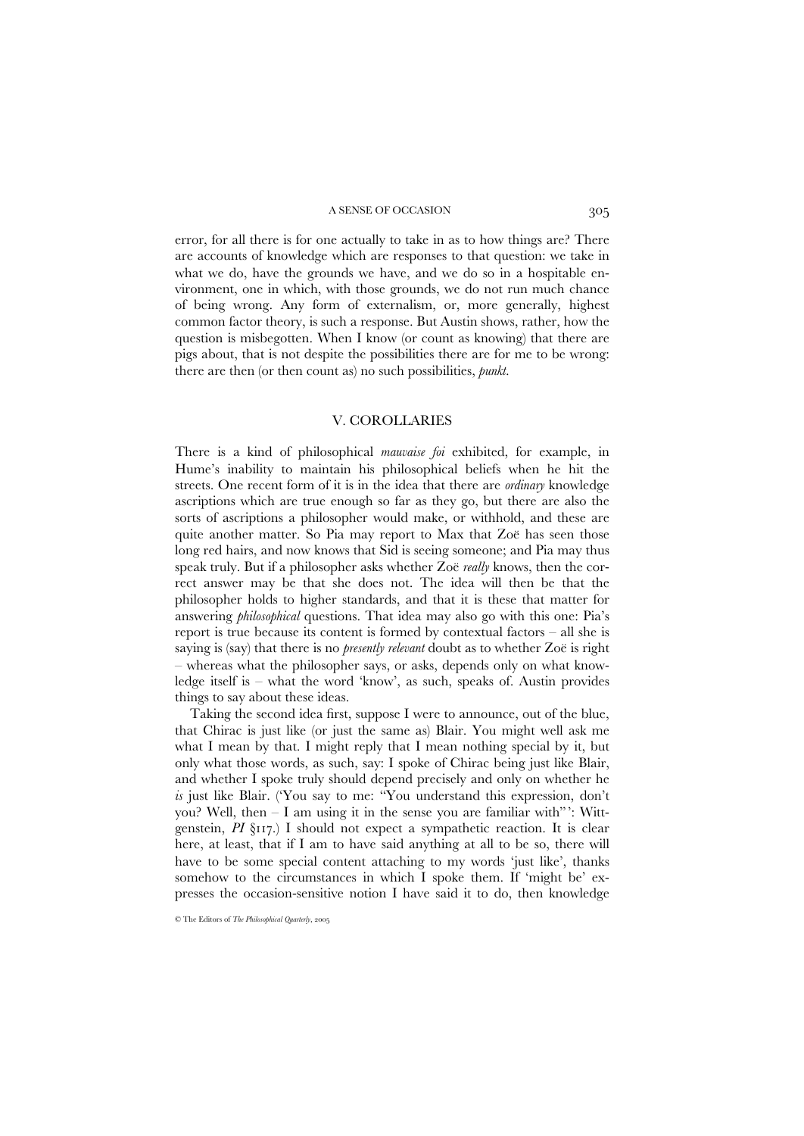error, for all there is for one actually to take in as to how things are? There are accounts of knowledge which are responses to that question: we take in what we do, have the grounds we have, and we do so in a hospitable environment, one in which, with those grounds, we do not run much chance of being wrong. Any form of externalism, or, more generally, highest common factor theory, is such a response. But Austin shows, rather, how the question is misbegotten. When I know (or count as knowing) that there are pigs about, that is not despite the possibilities there are for me to be wrong: there are then (or then count as) no such possibilities, *punkt*.

## V. COROLLARIES

There is a kind of philosophical *mauvaise foi* exhibited, for example, in Hume's inability to maintain his philosophical beliefs when he hit the streets. One recent form of it is in the idea that there are *ordinary* knowledge ascriptions which are true enough so far as they go, but there are also the sorts of ascriptions a philosopher would make, or withhold, and these are quite another matter. So Pia may report to Max that Zoë has seen those long red hairs, and now knows that Sid is seeing someone; and Pia may thus speak truly. But if a philosopher asks whether Zoë *really* knows, then the correct answer may be that she does not. The idea will then be that the philosopher holds to higher standards, and that it is these that matter for answering *philosophical* questions. That idea may also go with this one: Pia's report is true because its content is formed by contextual factors – all she is saying is (say) that there is no *presently relevant* doubt as to whether Zoë is right – whereas what the philosopher says, or asks, depends only on what knowledge itself is – what the word 'know', as such, speaks of. Austin provides things to say about these ideas.

Taking the second idea first, suppose I were to announce, out of the blue, that Chirac is just like (or just the same as) Blair. You might well ask me what I mean by that. I might reply that I mean nothing special by it, but only what those words, as such, say: I spoke of Chirac being just like Blair, and whether I spoke truly should depend precisely and only on whether he *is* just like Blair. ('You say to me: "You understand this expression, don't you? Well, then – I am using it in the sense you are familiar with"': Wittgenstein, *PI* §117.) I should not expect a sympathetic reaction. It is clear here, at least, that if I am to have said anything at all to be so, there will have to be some special content attaching to my words 'just like', thanks somehow to the circumstances in which I spoke them. If 'might be' expresses the occasion-sensitive notion I have said it to do, then knowledge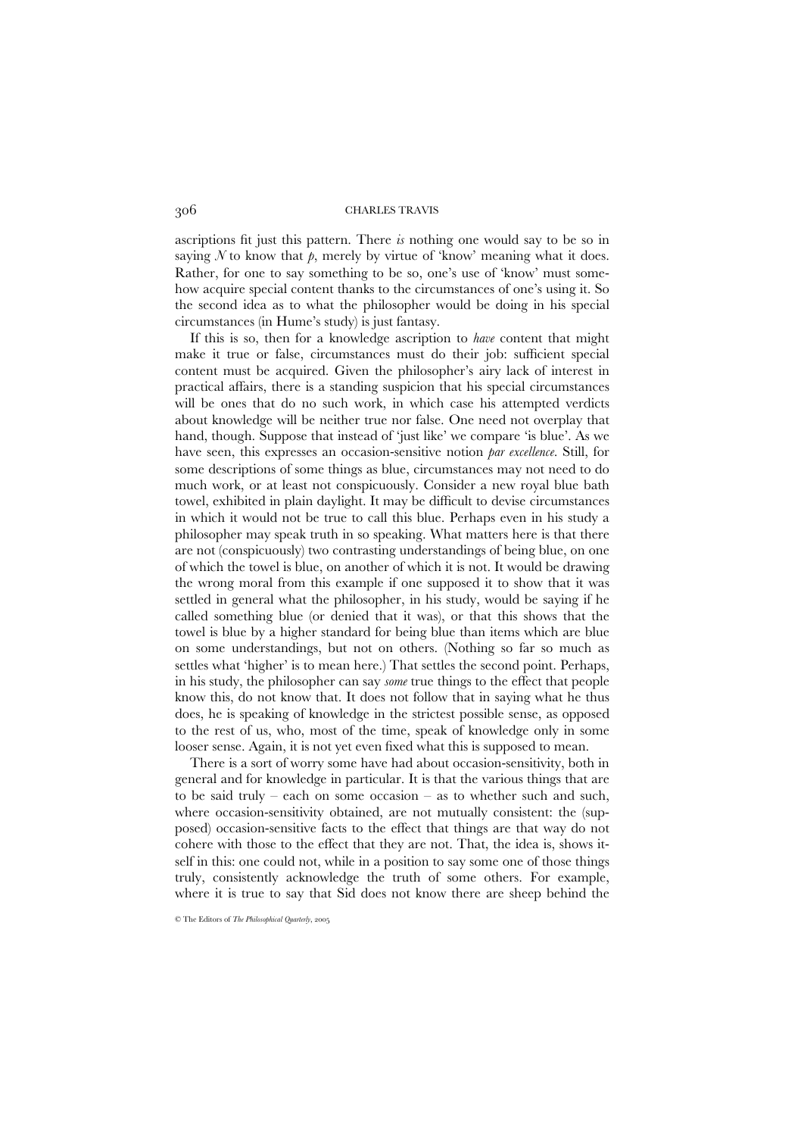ascriptions fit just this pattern. There *is* nothing one would say to be so in saying  $N$  to know that  $p$ , merely by virtue of 'know' meaning what it does. Rather, for one to say something to be so, one's use of 'know' must somehow acquire special content thanks to the circumstances of one's using it. So the second idea as to what the philosopher would be doing in his special circumstances (in Hume's study) is just fantasy.

If this is so, then for a knowledge ascription to *have* content that might make it true or false, circumstances must do their job: sufficient special content must be acquired. Given the philosopher's airy lack of interest in practical affairs, there is a standing suspicion that his special circumstances will be ones that do no such work, in which case his attempted verdicts about knowledge will be neither true nor false. One need not overplay that hand, though. Suppose that instead of 'just like' we compare 'is blue'. As we have seen, this expresses an occasion-sensitive notion *par excellence*. Still, for some descriptions of some things as blue, circumstances may not need to do much work, or at least not conspicuously. Consider a new royal blue bath towel, exhibited in plain daylight. It may be difficult to devise circumstances in which it would not be true to call this blue. Perhaps even in his study a philosopher may speak truth in so speaking. What matters here is that there are not (conspicuously) two contrasting understandings of being blue, on one of which the towel is blue, on another of which it is not. It would be drawing the wrong moral from this example if one supposed it to show that it was settled in general what the philosopher, in his study, would be saying if he called something blue (or denied that it was), or that this shows that the towel is blue by a higher standard for being blue than items which are blue on some understandings, but not on others. (Nothing so far so much as settles what 'higher' is to mean here.) That settles the second point. Perhaps, in his study, the philosopher can say *some* true things to the effect that people know this, do not know that. It does not follow that in saying what he thus does, he is speaking of knowledge in the strictest possible sense, as opposed to the rest of us, who, most of the time, speak of knowledge only in some looser sense. Again, it is not yet even fixed what this is supposed to mean.

There is a sort of worry some have had about occasion-sensitivity, both in general and for knowledge in particular. It is that the various things that are to be said truly – each on some occasion – as to whether such and such, where occasion-sensitivity obtained, are not mutually consistent: the (supposed) occasion-sensitive facts to the effect that things are that way do not cohere with those to the effect that they are not. That, the idea is, shows itself in this: one could not, while in a position to say some one of those things truly, consistently acknowledge the truth of some others. For example, where it is true to say that Sid does not know there are sheep behind the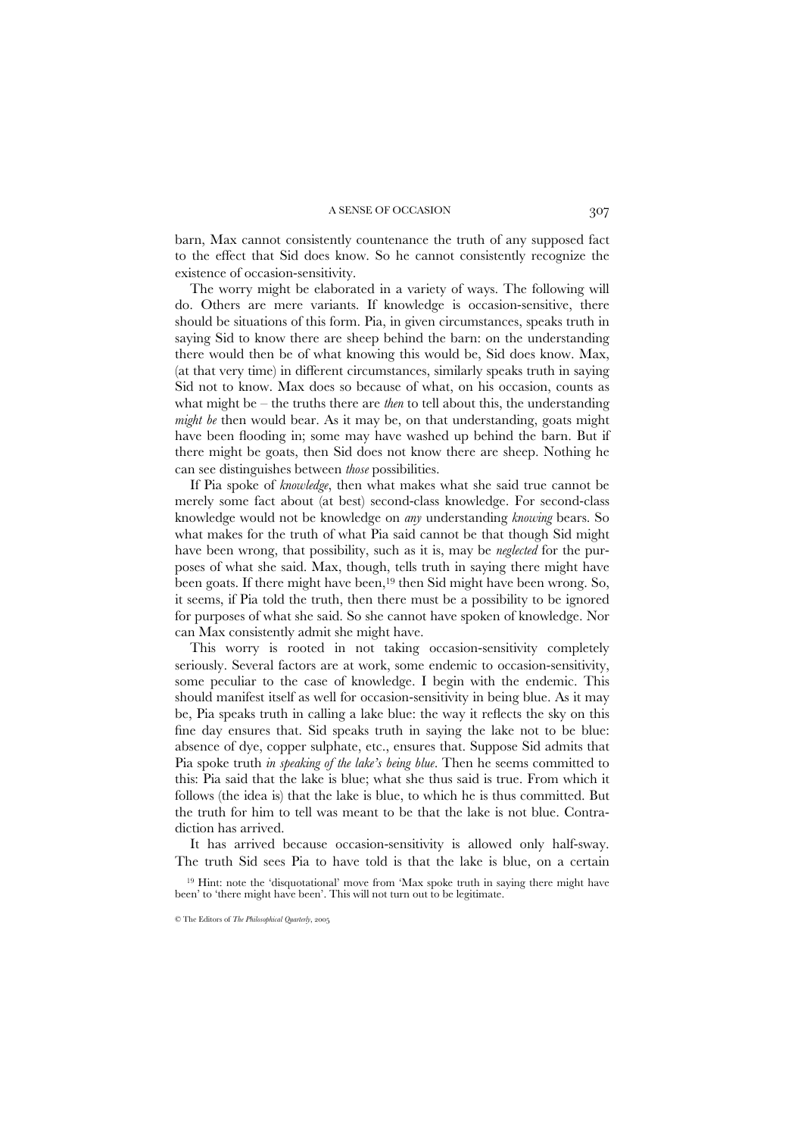barn, Max cannot consistently countenance the truth of any supposed fact to the effect that Sid does know. So he cannot consistently recognize the existence of occasion-sensitivity.

The worry might be elaborated in a variety of ways. The following will do. Others are mere variants. If knowledge is occasion-sensitive, there should be situations of this form. Pia, in given circumstances, speaks truth in saying Sid to know there are sheep behind the barn: on the understanding there would then be of what knowing this would be, Sid does know. Max, (at that very time) in different circumstances, similarly speaks truth in saying Sid not to know. Max does so because of what, on his occasion, counts as what might be – the truths there are *then* to tell about this, the understanding *might be* then would bear. As it may be, on that understanding, goats might have been flooding in; some may have washed up behind the barn. But if there might be goats, then Sid does not know there are sheep. Nothing he can see distinguishes between *those* possibilities.

If Pia spoke of *knowledge*, then what makes what she said true cannot be merely some fact about (at best) second-class knowledge. For second-class knowledge would not be knowledge on *any* understanding *knowing* bears. So what makes for the truth of what Pia said cannot be that though Sid might have been wrong, that possibility, such as it is, may be *neglected* for the purposes of what she said. Max, though, tells truth in saying there might have been goats. If there might have been,19 then Sid might have been wrong. So, it seems, if Pia told the truth, then there must be a possibility to be ignored for purposes of what she said. So she cannot have spoken of knowledge. Nor can Max consistently admit she might have.

This worry is rooted in not taking occasion-sensitivity completely seriously. Several factors are at work, some endemic to occasion-sensitivity, some peculiar to the case of knowledge. I begin with the endemic. This should manifest itself as well for occasion-sensitivity in being blue. As it may be, Pia speaks truth in calling a lake blue: the way it reflects the sky on this fine day ensures that. Sid speaks truth in saying the lake not to be blue: absence of dye, copper sulphate, etc., ensures that. Suppose Sid admits that Pia spoke truth *in speaking of the lake's being blue*. Then he seems committed to this: Pia said that the lake is blue; what she thus said is true. From which it follows (the idea is) that the lake is blue, to which he is thus committed. But the truth for him to tell was meant to be that the lake is not blue. Contradiction has arrived.

It has arrived because occasion-sensitivity is allowed only half-sway. The truth Sid sees Pia to have told is that the lake is blue, on a certain

<sup>19</sup> Hint: note the 'disquotational' move from 'Max spoke truth in saying there might have been' to 'there might have been'. This will not turn out to be legitimate.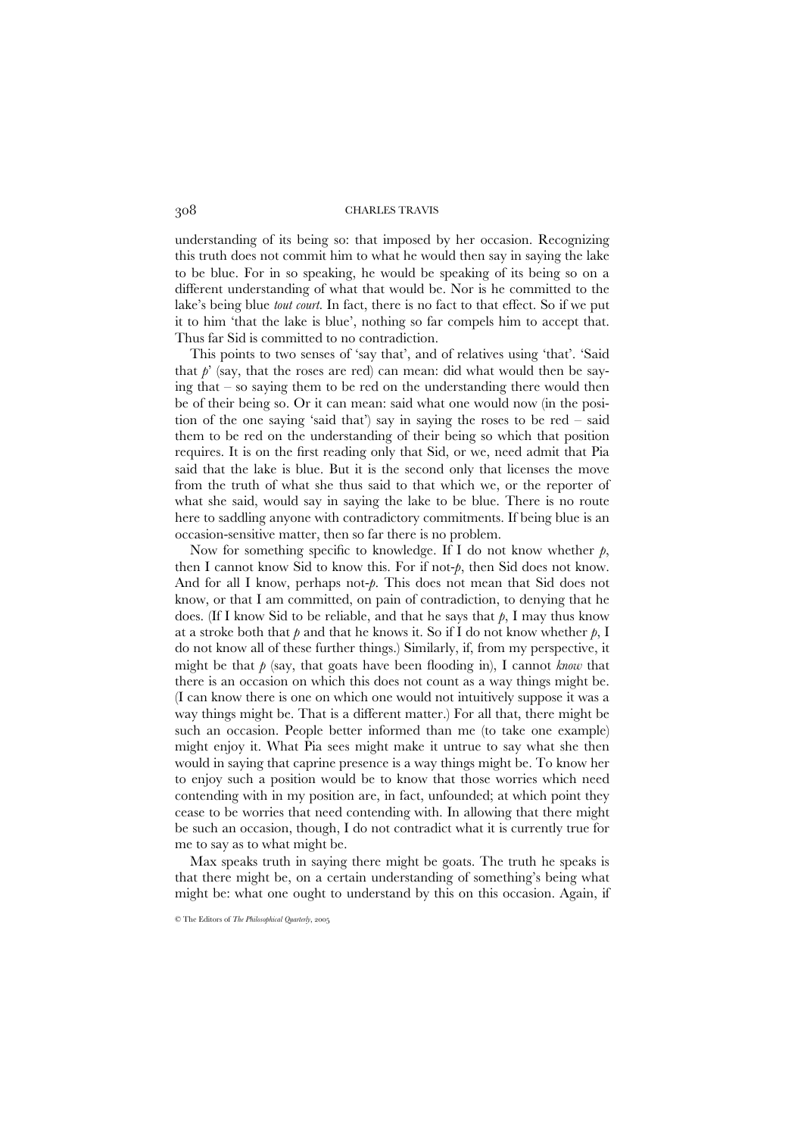understanding of its being so: that imposed by her occasion. Recognizing this truth does not commit him to what he would then say in saying the lake to be blue. For in so speaking, he would be speaking of its being so on a different understanding of what that would be. Nor is he committed to the lake's being blue *tout court*. In fact, there is no fact to that effect. So if we put it to him 'that the lake is blue', nothing so far compels him to accept that. Thus far Sid is committed to no contradiction.

This points to two senses of 'say that', and of relatives using 'that'. 'Said that  $p'$  (say, that the roses are red) can mean: did what would then be saying that – so saying them to be red on the understanding there would then be of their being so. Or it can mean: said what one would now (in the position of the one saying 'said that') say in saying the roses to be red – said them to be red on the understanding of their being so which that position requires. It is on the first reading only that Sid, or we, need admit that Pia said that the lake is blue. But it is the second only that licenses the move from the truth of what she thus said to that which we, or the reporter of what she said, would say in saying the lake to be blue. There is no route here to saddling anyone with contradictory commitments. If being blue is an occasion-sensitive matter, then so far there is no problem.

Now for something specific to knowledge. If I do not know whether *p*, then I cannot know Sid to know this. For if not-*p*, then Sid does not know. And for all I know, perhaps not-*p*. This does not mean that Sid does not know, or that I am committed, on pain of contradiction, to denying that he does. (If I know Sid to be reliable, and that he says that *p*, I may thus know at a stroke both that  $p$  and that he knows it. So if I do not know whether  $p$ , I do not know all of these further things.) Similarly, if, from my perspective, it might be that *p* (say, that goats have been flooding in), I cannot *know* that there is an occasion on which this does not count as a way things might be. (I can know there is one on which one would not intuitively suppose it was a way things might be. That is a different matter.) For all that, there might be such an occasion. People better informed than me (to take one example) might enjoy it. What Pia sees might make it untrue to say what she then would in saying that caprine presence is a way things might be. To know her to enjoy such a position would be to know that those worries which need contending with in my position are, in fact, unfounded; at which point they cease to be worries that need contending with. In allowing that there might be such an occasion, though, I do not contradict what it is currently true for me to say as to what might be.

Max speaks truth in saying there might be goats. The truth he speaks is that there might be, on a certain understanding of something's being what might be: what one ought to understand by this on this occasion. Again, if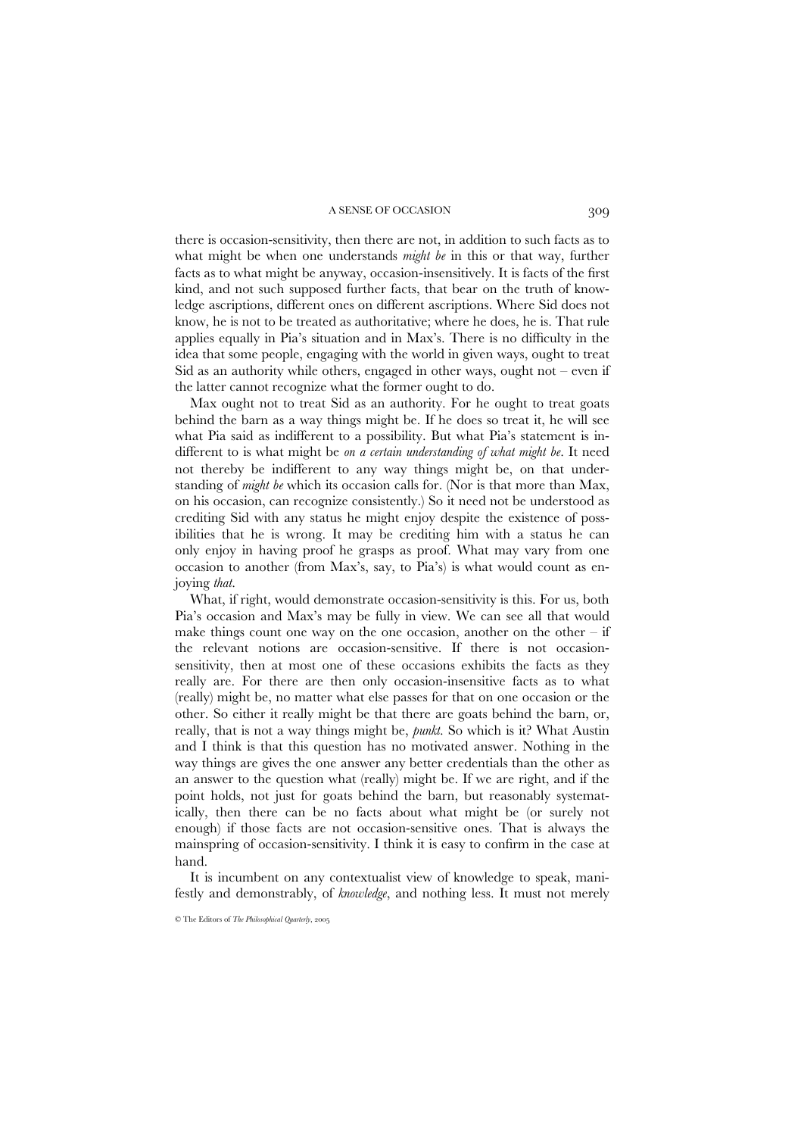there is occasion-sensitivity, then there are not, in addition to such facts as to what might be when one understands *might be* in this or that way, further facts as to what might be anyway, occasion-insensitively. It is facts of the first kind, and not such supposed further facts, that bear on the truth of knowledge ascriptions, different ones on different ascriptions. Where Sid does not know, he is not to be treated as authoritative; where he does, he is. That rule applies equally in Pia's situation and in Max's. There is no difficulty in the idea that some people, engaging with the world in given ways, ought to treat Sid as an authority while others, engaged in other ways, ought not – even if the latter cannot recognize what the former ought to do.

Max ought not to treat Sid as an authority. For he ought to treat goats behind the barn as a way things might be. If he does so treat it, he will see what Pia said as indifferent to a possibility. But what Pia's statement is indifferent to is what might be *on a certain understanding of what might be*. It need not thereby be indifferent to any way things might be, on that understanding of *might be* which its occasion calls for. (Nor is that more than Max, on his occasion, can recognize consistently.) So it need not be understood as crediting Sid with any status he might enjoy despite the existence of possibilities that he is wrong. It may be crediting him with a status he can only enjoy in having proof he grasps as proof. What may vary from one occasion to another (from Max's, say, to Pia's) is what would count as enjoying *that*.

What, if right, would demonstrate occasion-sensitivity is this. For us, both Pia's occasion and Max's may be fully in view. We can see all that would make things count one way on the one occasion, another on the other  $-$  if the relevant notions are occasion-sensitive. If there is not occasionsensitivity, then at most one of these occasions exhibits the facts as they really are. For there are then only occasion-insensitive facts as to what (really) might be, no matter what else passes for that on one occasion or the other. So either it really might be that there are goats behind the barn, or, really, that is not a way things might be, *punkt*. So which is it? What Austin and I think is that this question has no motivated answer. Nothing in the way things are gives the one answer any better credentials than the other as an answer to the question what (really) might be. If we are right, and if the point holds, not just for goats behind the barn, but reasonably systematically, then there can be no facts about what might be (or surely not enough) if those facts are not occasion-sensitive ones. That is always the mainspring of occasion-sensitivity. I think it is easy to confirm in the case at hand.

It is incumbent on any contextualist view of knowledge to speak, manifestly and demonstrably, of *knowledge*, and nothing less. It must not merely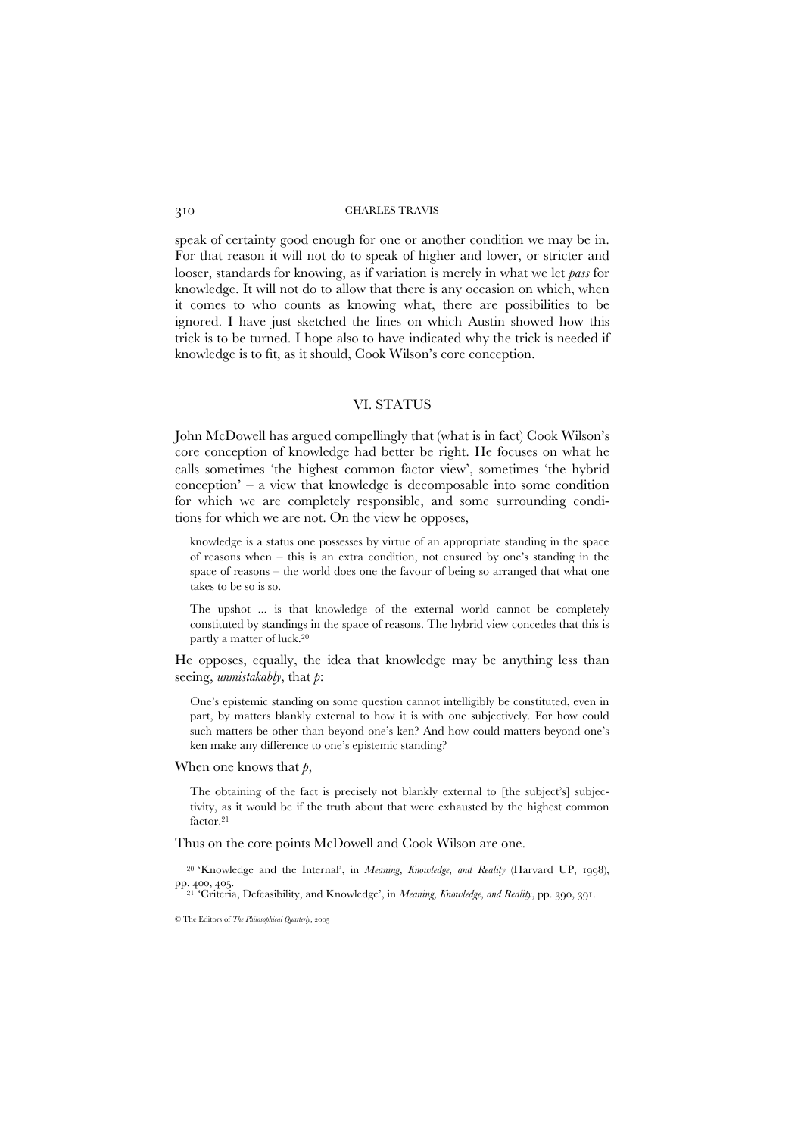speak of certainty good enough for one or another condition we may be in. For that reason it will not do to speak of higher and lower, or stricter and looser, standards for knowing, as if variation is merely in what we let *pass* for knowledge. It will not do to allow that there is any occasion on which, when it comes to who counts as knowing what, there are possibilities to be ignored. I have just sketched the lines on which Austin showed how this trick is to be turned. I hope also to have indicated why the trick is needed if knowledge is to fit, as it should, Cook Wilson's core conception.

## VI. STATUS

John McDowell has argued compellingly that (what is in fact) Cook Wilson's core conception of knowledge had better be right. He focuses on what he calls sometimes 'the highest common factor view', sometimes 'the hybrid  $conception - a view that knowledge is decomposable into some condition$ for which we are completely responsible, and some surrounding conditions for which we are not. On the view he opposes,

knowledge is a status one possesses by virtue of an appropriate standing in the space of reasons when – this is an extra condition, not ensured by one's standing in the space of reasons – the world does one the favour of being so arranged that what one takes to be so is so.

The upshot ... is that knowledge of the external world cannot be completely constituted by standings in the space of reasons. The hybrid view concedes that this is partly a matter of luck.20

He opposes, equally, the idea that knowledge may be anything less than seeing, *unmistakably*, that *p*:

One's epistemic standing on some question cannot intelligibly be constituted, even in part, by matters blankly external to how it is with one subjectively. For how could such matters be other than beyond one's ken? And how could matters beyond one's ken make any difference to one's epistemic standing?

When one knows that *p*,

The obtaining of the fact is precisely not blankly external to [the subject's] subjectivity, as it would be if the truth about that were exhausted by the highest common factor.21

Thus on the core points McDowell and Cook Wilson are one.

<sup>20</sup> 'Knowledge and the Internal', in *Meaning, Knowledge, and Reality* (Harvard UP, 1998), pp. 400, 405.

<sup>21</sup> 'Criteria, Defeasibility, and Knowledge', in *Meaning, Knowledge, and Reality*, pp. 390, 391.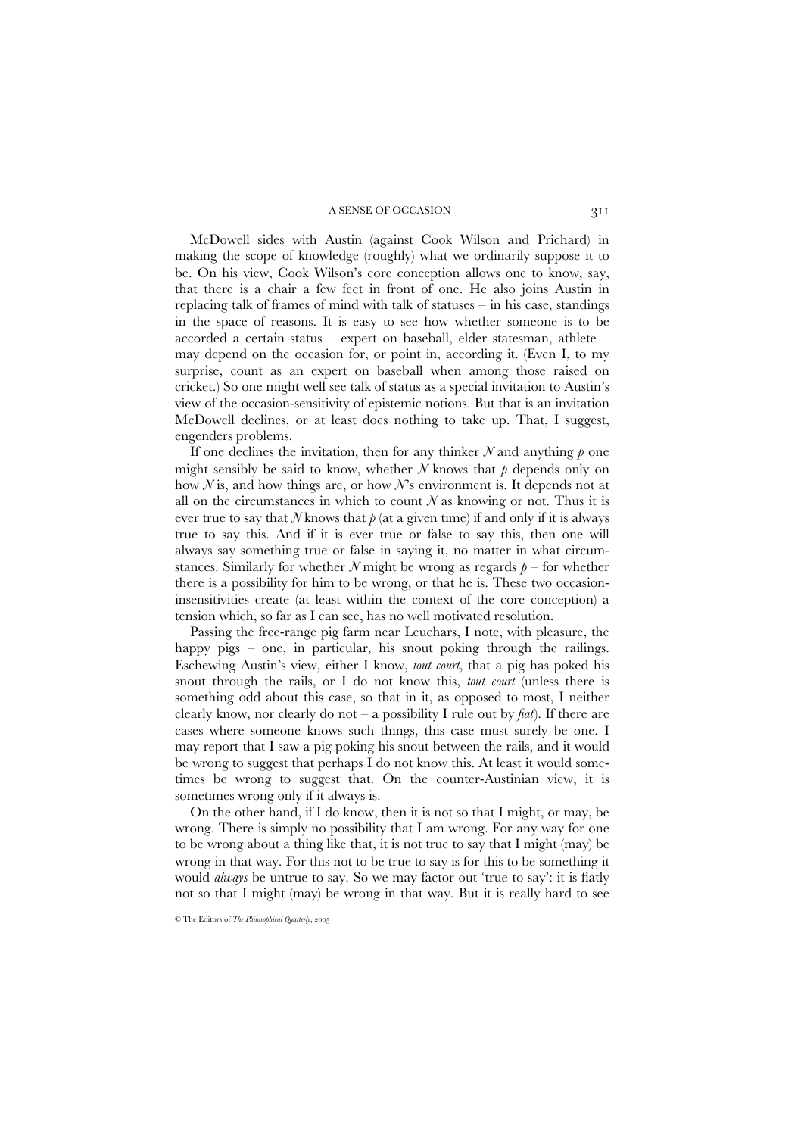McDowell sides with Austin (against Cook Wilson and Prichard) in making the scope of knowledge (roughly) what we ordinarily suppose it to be. On his view, Cook Wilson's core conception allows one to know, say, that there is a chair a few feet in front of one. He also joins Austin in replacing talk of frames of mind with talk of statuses – in his case, standings in the space of reasons. It is easy to see how whether someone is to be accorded a certain status – expert on baseball, elder statesman, athlete – may depend on the occasion for, or point in, according it. (Even I, to my surprise, count as an expert on baseball when among those raised on cricket.) So one might well see talk of status as a special invitation to Austin's view of the occasion-sensitivity of epistemic notions. But that is an invitation McDowell declines, or at least does nothing to take up. That, I suggest, engenders problems.

If one declines the invitation, then for any thinker  $N$  and anything  $p$  one might sensibly be said to know, whether  $N$  knows that  $p$  depends only on how *N* is, and how things are, or how *N*'s environment is. It depends not at all on the circumstances in which to count  $N$  as knowing or not. Thus it is ever true to say that  $N$  knows that  $p$  (at a given time) if and only if it is always true to say this. And if it is ever true or false to say this, then one will always say something true or false in saying it, no matter in what circumstances. Similarly for whether *N* might be wrong as regards  $p -$  for whether there is a possibility for him to be wrong, or that he is. These two occasioninsensitivities create (at least within the context of the core conception) a tension which, so far as I can see, has no well motivated resolution.

Passing the free-range pig farm near Leuchars, I note, with pleasure, the happy pigs – one, in particular, his snout poking through the railings. Eschewing Austin's view, either I know, *tout court*, that a pig has poked his snout through the rails, or I do not know this, *tout court* (unless there is something odd about this case, so that in it, as opposed to most, I neither clearly know, nor clearly do not – a possibility I rule out by *fiat*). If there are cases where someone knows such things, this case must surely be one. I may report that I saw a pig poking his snout between the rails, and it would be wrong to suggest that perhaps I do not know this. At least it would sometimes be wrong to suggest that. On the counter-Austinian view, it is sometimes wrong only if it always is.

On the other hand, if I do know, then it is not so that I might, or may, be wrong. There is simply no possibility that I am wrong. For any way for one to be wrong about a thing like that, it is not true to say that I might (may) be wrong in that way. For this not to be true to say is for this to be something it would *always* be untrue to say. So we may factor out 'true to say': it is flatly not so that I might (may) be wrong in that way. But it is really hard to see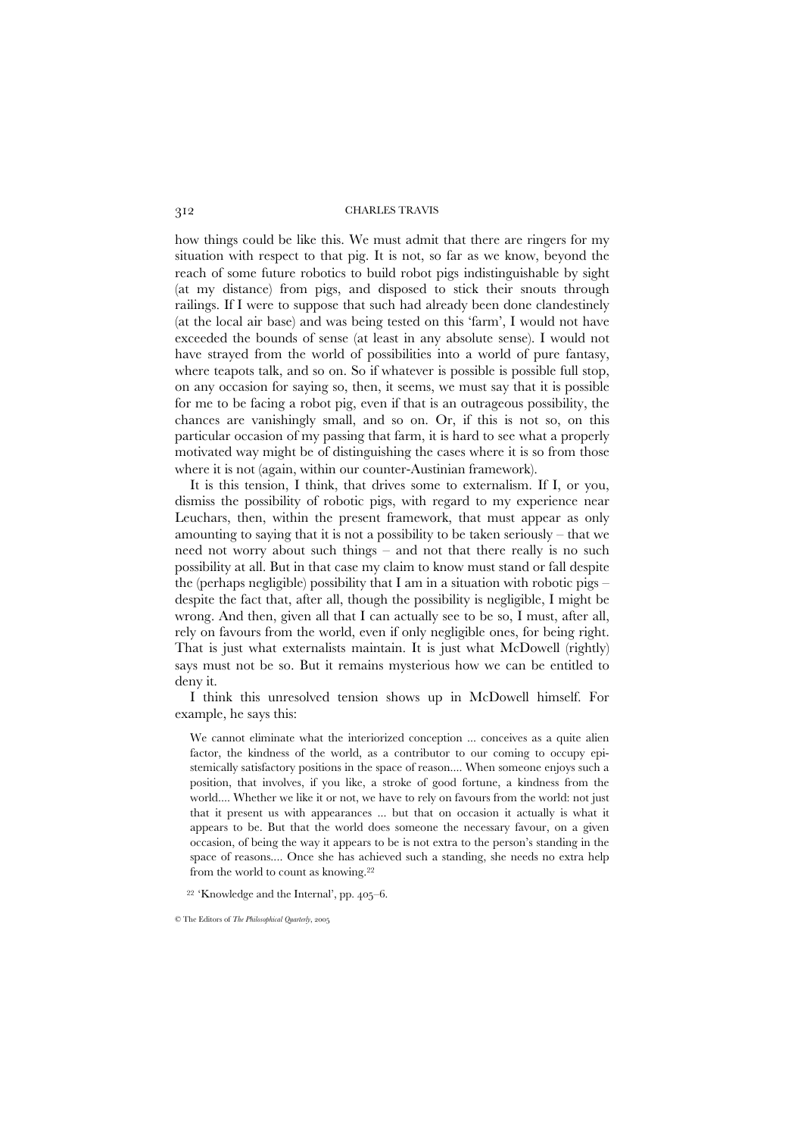how things could be like this. We must admit that there are ringers for my situation with respect to that pig. It is not, so far as we know, beyond the reach of some future robotics to build robot pigs indistinguishable by sight (at my distance) from pigs, and disposed to stick their snouts through railings. If I were to suppose that such had already been done clandestinely (at the local air base) and was being tested on this 'farm', I would not have exceeded the bounds of sense (at least in any absolute sense). I would not have strayed from the world of possibilities into a world of pure fantasy, where teapots talk, and so on. So if whatever is possible is possible full stop, on any occasion for saying so, then, it seems, we must say that it is possible for me to be facing a robot pig, even if that is an outrageous possibility, the chances are vanishingly small, and so on. Or, if this is not so, on this particular occasion of my passing that farm, it is hard to see what a properly motivated way might be of distinguishing the cases where it is so from those where it is not (again, within our counter-Austinian framework).

It is this tension, I think, that drives some to externalism. If I, or you, dismiss the possibility of robotic pigs, with regard to my experience near Leuchars, then, within the present framework, that must appear as only amounting to saying that it is not a possibility to be taken seriously – that we need not worry about such things – and not that there really is no such possibility at all. But in that case my claim to know must stand or fall despite the (perhaps negligible) possibility that I am in a situation with robotic pigs – despite the fact that, after all, though the possibility is negligible, I might be wrong. And then, given all that I can actually see to be so, I must, after all, rely on favours from the world, even if only negligible ones, for being right. That is just what externalists maintain. It is just what McDowell (rightly) says must not be so. But it remains mysterious how we can be entitled to deny it.

I think this unresolved tension shows up in McDowell himself. For example, he says this:

We cannot eliminate what the interiorized conception ... conceives as a quite alien factor, the kindness of the world, as a contributor to our coming to occupy epistemically satisfactory positions in the space of reason.... When someone enjoys such a position, that involves, if you like, a stroke of good fortune, a kindness from the world.... Whether we like it or not, we have to rely on favours from the world: not just that it present us with appearances ... but that on occasion it actually is what it appears to be. But that the world does someone the necessary favour, on a given occasion, of being the way it appears to be is not extra to the person's standing in the space of reasons.... Once she has achieved such a standing, she needs no extra help from the world to count as knowing.22

 $22$  'Knowledge and the Internal', pp. 405–6.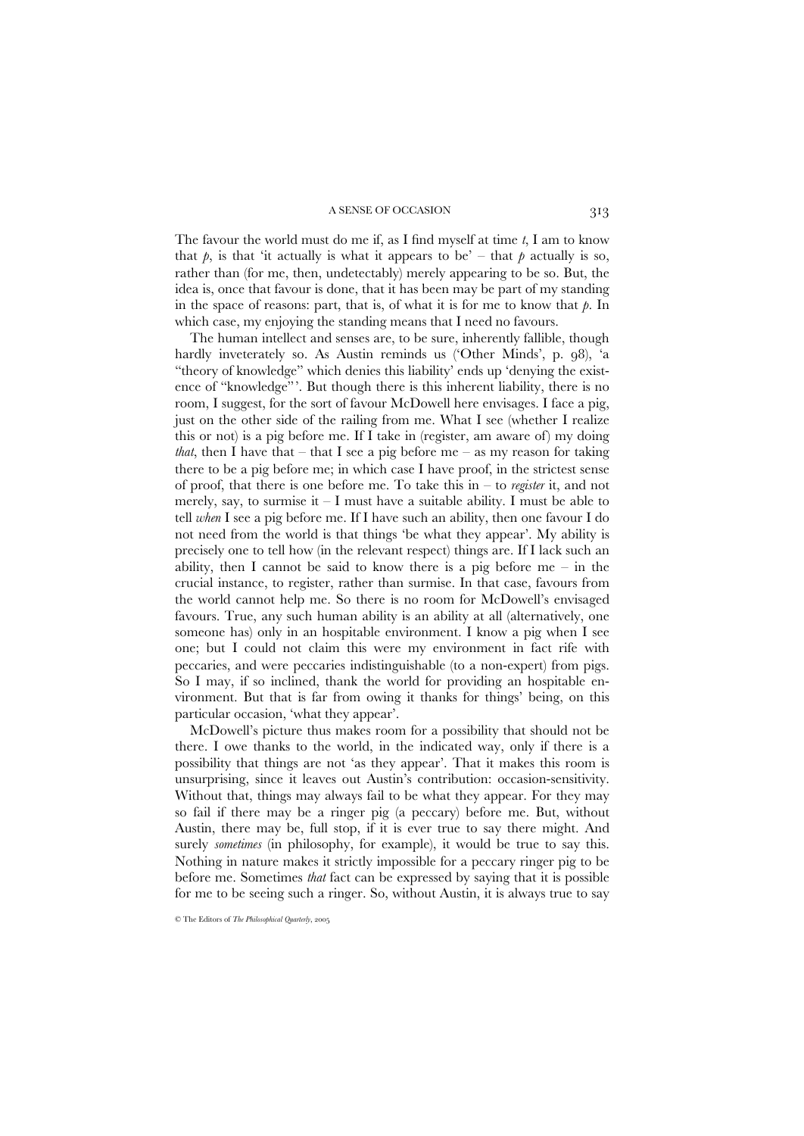The favour the world must do me if, as I find myself at time *t*, I am to know that  $\beta$ , is that 'it actually is what it appears to be' – that  $\beta$  actually is so, rather than (for me, then, undetectably) merely appearing to be so. But, the idea is, once that favour is done, that it has been may be part of my standing in the space of reasons: part, that is, of what it is for me to know that  $p$ . In which case, my enjoying the standing means that I need no favours.

The human intellect and senses are, to be sure, inherently fallible, though hardly inveterately so. As Austin reminds us ('Other Minds', p. 98), 'a "theory of knowledge" which denies this liability' ends up 'denying the existence of "knowledge"'. But though there is this inherent liability, there is no room, I suggest, for the sort of favour McDowell here envisages. I face a pig, just on the other side of the railing from me. What I see (whether I realize this or not) is a pig before me. If I take in (register, am aware of) my doing *that*, then I have that – that I see a pig before me – as my reason for taking there to be a pig before me; in which case I have proof, in the strictest sense of proof, that there is one before me. To take this in – to *register* it, and not merely, say, to surmise it  $-I$  must have a suitable ability. I must be able to tell *when* I see a pig before me. If I have such an ability, then one favour I do not need from the world is that things 'be what they appear'. My ability is precisely one to tell how (in the relevant respect) things are. If I lack such an ability, then I cannot be said to know there is a pig before me – in the crucial instance, to register, rather than surmise. In that case, favours from the world cannot help me. So there is no room for McDowell's envisaged favours. True, any such human ability is an ability at all (alternatively, one someone has) only in an hospitable environment. I know a pig when I see one; but I could not claim this were my environment in fact rife with peccaries, and were peccaries indistinguishable (to a non-expert) from pigs. So I may, if so inclined, thank the world for providing an hospitable environment. But that is far from owing it thanks for things' being, on this particular occasion, 'what they appear'.

McDowell's picture thus makes room for a possibility that should not be there. I owe thanks to the world, in the indicated way, only if there is a possibility that things are not 'as they appear'. That it makes this room is unsurprising, since it leaves out Austin's contribution: occasion-sensitivity. Without that, things may always fail to be what they appear. For they may so fail if there may be a ringer pig (a peccary) before me. But, without Austin, there may be, full stop, if it is ever true to say there might. And surely *sometimes* (in philosophy, for example), it would be true to say this. Nothing in nature makes it strictly impossible for a peccary ringer pig to be before me. Sometimes *that* fact can be expressed by saying that it is possible for me to be seeing such a ringer. So, without Austin, it is always true to say